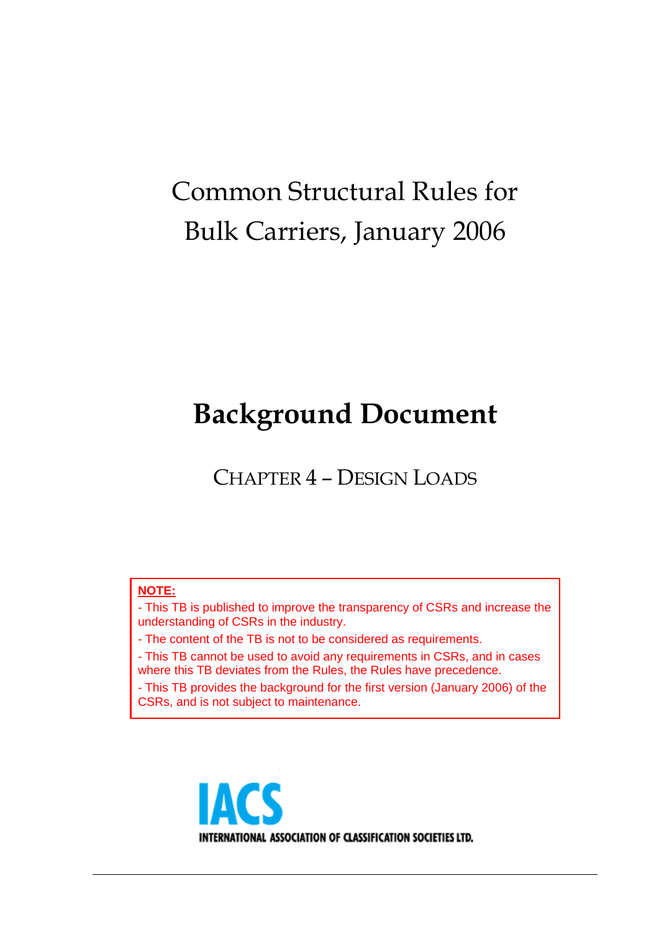# Common Structural Rules for Bulk Carriers, January 2006

# **Background Document**

CHAPTER 4 – DESIGN LOADS

#### **NOTE:**

- This TB is published to improve the transparency of CSRs and increase the understanding of CSRs in the industry.

- The content of the TB is not to be considered as requirements.

- This TB cannot be used to avoid any requirements in CSRs, and in cases where this TB deviates from the Rules, the Rules have precedence.

- This TB provides the background for the first version (January 2006) of the CSRs, and is not subject to maintenance.

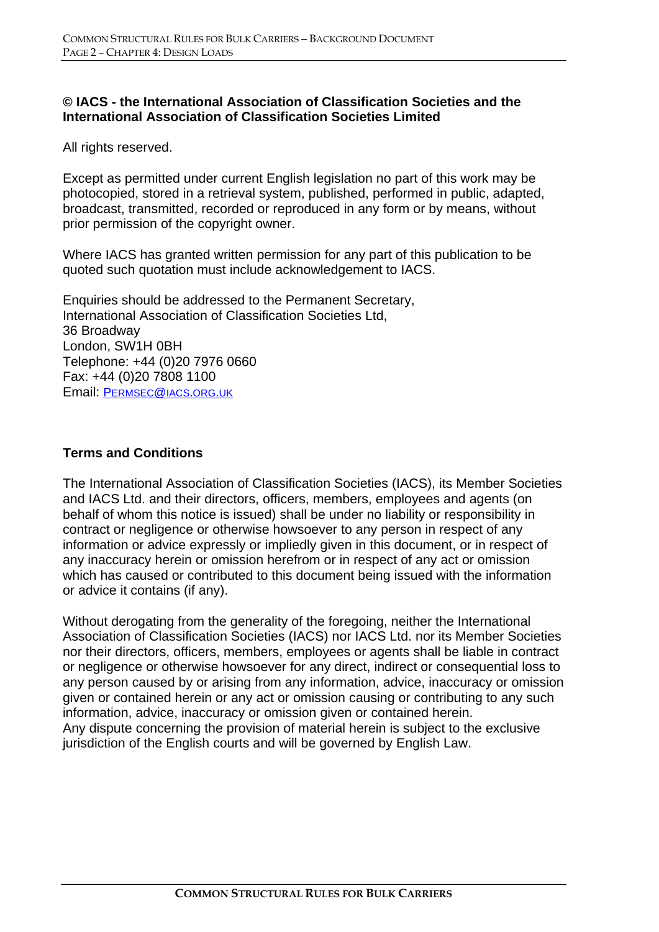#### **© IACS - the International Association of Classification Societies and the International Association of Classification Societies Limited**

All rights reserved.

Except as permitted under current English legislation no part of this work may be photocopied, stored in a retrieval system, published, performed in public, adapted, broadcast, transmitted, recorded or reproduced in any form or by means, without prior permission of the copyright owner.

Where IACS has granted written permission for any part of this publication to be quoted such quotation must include acknowledgement to IACS.

Enquiries should be addressed to the Permanent Secretary, International Association of Classification Societies Ltd, 36 Broadway London, SW1H 0BH Telephone: +44 (0)20 7976 0660 Fax: +44 (0)20 7808 1100 Email: PERMSEC@IACS.ORG.UK

#### **Terms and Conditions**

The International Association of Classification Societies (IACS), its Member Societies and IACS Ltd. and their directors, officers, members, employees and agents (on behalf of whom this notice is issued) shall be under no liability or responsibility in contract or negligence or otherwise howsoever to any person in respect of any information or advice expressly or impliedly given in this document, or in respect of any inaccuracy herein or omission herefrom or in respect of any act or omission which has caused or contributed to this document being issued with the information or advice it contains (if any).

Without derogating from the generality of the foregoing, neither the International Association of Classification Societies (IACS) nor IACS Ltd. nor its Member Societies nor their directors, officers, members, employees or agents shall be liable in contract or negligence or otherwise howsoever for any direct, indirect or consequential loss to any person caused by or arising from any information, advice, inaccuracy or omission given or contained herein or any act or omission causing or contributing to any such information, advice, inaccuracy or omission given or contained herein. Any dispute concerning the provision of material herein is subject to the exclusive jurisdiction of the English courts and will be governed by English Law.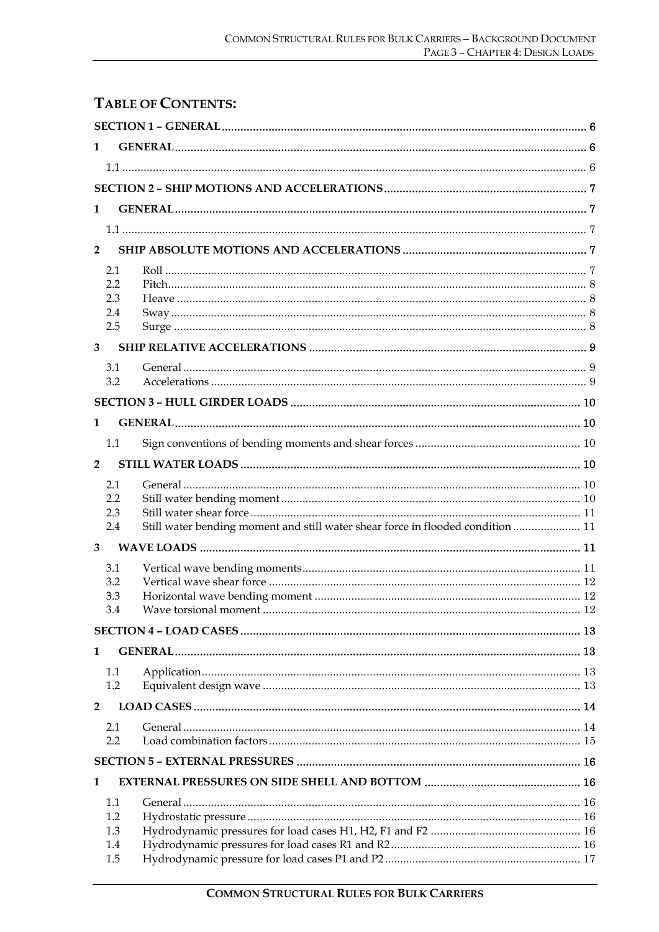#### **TABLE OF CONTENTS:** GENERAI  $2.1$  $22$  $2.3$  $2\Delta$ 2.5  $31$  $3.2$  $1.1$  $21$  $22$  $2.3$ Still water bending moment and still water shear force in flooded condition..................... 11  $2\Delta$  $3.1$  $3.2$ 3.3 3.4  $1.1$  $1.2$  $2.1$  $22$  $11$  $1.2$ 1.3  $1.4$

 $\mathbf{1}$ 

 $\mathbf{1}$ 

 $\overline{2}$ 

3

 $\mathbf{1}$ 

 $\mathcal{D}$ 

 $\mathbf{z}$ 

 $\mathbf{1}$ 

 $\overline{2}$ 

1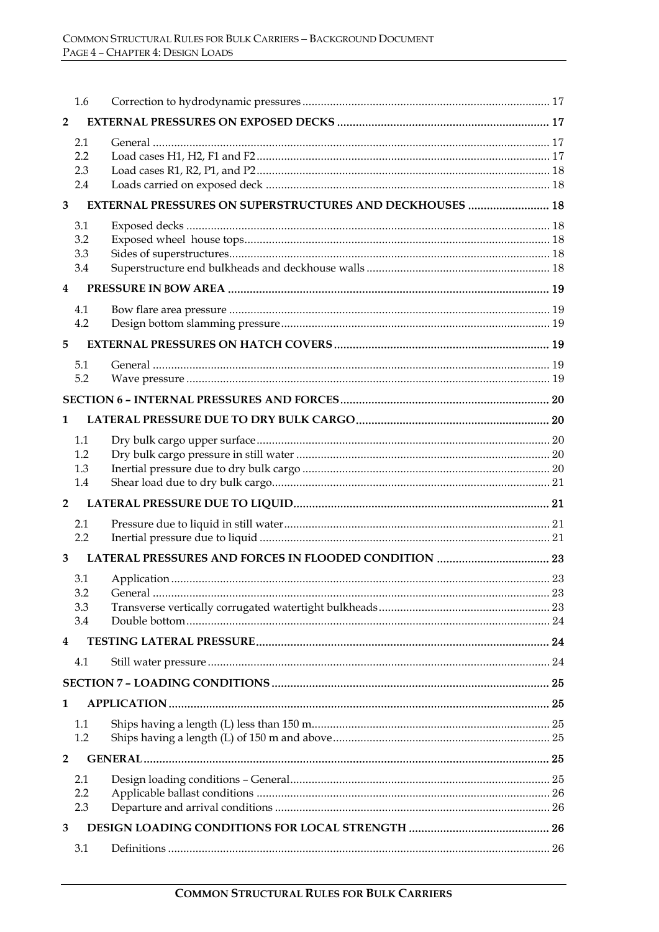|                | 1.6                      |                                                                                                                |  |  |  |  |
|----------------|--------------------------|----------------------------------------------------------------------------------------------------------------|--|--|--|--|
| $\overline{2}$ |                          |                                                                                                                |  |  |  |  |
|                | 2.1<br>2.2<br>2.3<br>2.4 |                                                                                                                |  |  |  |  |
| 3              |                          | <b>EXTERNAL PRESSURES ON SUPERSTRUCTURES AND DECKHOUSES  18</b>                                                |  |  |  |  |
|                | 3.1<br>3.2<br>3.3<br>3.4 |                                                                                                                |  |  |  |  |
| 4              |                          |                                                                                                                |  |  |  |  |
|                | 4.1<br>4.2               |                                                                                                                |  |  |  |  |
| 5              |                          |                                                                                                                |  |  |  |  |
|                | 5.1<br>5.2               |                                                                                                                |  |  |  |  |
|                |                          |                                                                                                                |  |  |  |  |
| 1              |                          |                                                                                                                |  |  |  |  |
|                | 1.1<br>1.2<br>1.3<br>1.4 |                                                                                                                |  |  |  |  |
| $\overline{2}$ |                          |                                                                                                                |  |  |  |  |
|                | 2.1<br>2.2               |                                                                                                                |  |  |  |  |
| 3              |                          |                                                                                                                |  |  |  |  |
|                | 3.1<br>3.2<br>3.3<br>3.4 |                                                                                                                |  |  |  |  |
| 4              |                          |                                                                                                                |  |  |  |  |
|                | 4.1                      |                                                                                                                |  |  |  |  |
|                |                          |                                                                                                                |  |  |  |  |
| 1              |                          |                                                                                                                |  |  |  |  |
|                | 1.1<br>1.2               |                                                                                                                |  |  |  |  |
| 2              |                          |                                                                                                                |  |  |  |  |
|                | 2.1<br>2.2<br>2.3        | $\label{eq:3} \textbf{Design loading conditions - General}.\textcolor{red}{\textbf{1:}\textbf{1:}\textbf{25}}$ |  |  |  |  |
| 3              |                          |                                                                                                                |  |  |  |  |
|                | 3.1                      |                                                                                                                |  |  |  |  |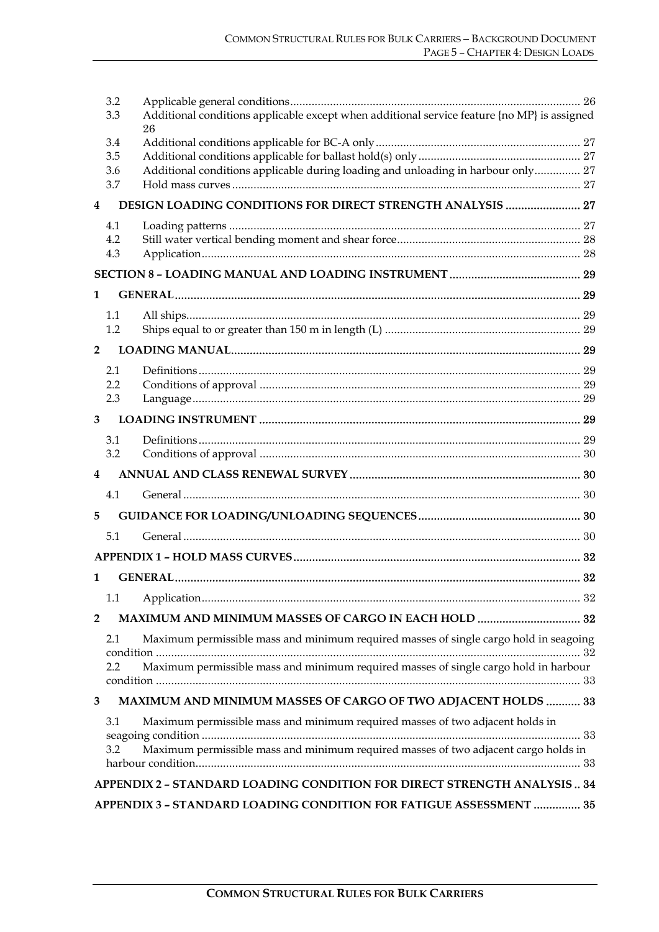|                | 3.2                                                                |                                                                                                   |  |  |  |  |  |
|----------------|--------------------------------------------------------------------|---------------------------------------------------------------------------------------------------|--|--|--|--|--|
|                | 3.3                                                                | Additional conditions applicable except when additional service feature {no MP} is assigned<br>26 |  |  |  |  |  |
|                | 3.4                                                                |                                                                                                   |  |  |  |  |  |
|                | 3.5                                                                |                                                                                                   |  |  |  |  |  |
|                | 3.6                                                                | Additional conditions applicable during loading and unloading in harbour only 27                  |  |  |  |  |  |
|                | 3.7                                                                |                                                                                                   |  |  |  |  |  |
| 4              |                                                                    | DESIGN LOADING CONDITIONS FOR DIRECT STRENGTH ANALYSIS  27                                        |  |  |  |  |  |
|                | 4.1                                                                |                                                                                                   |  |  |  |  |  |
|                | 4.2<br>4.3                                                         |                                                                                                   |  |  |  |  |  |
|                |                                                                    |                                                                                                   |  |  |  |  |  |
|                |                                                                    |                                                                                                   |  |  |  |  |  |
| 1              |                                                                    |                                                                                                   |  |  |  |  |  |
|                | 1.1                                                                |                                                                                                   |  |  |  |  |  |
|                | 1.2                                                                |                                                                                                   |  |  |  |  |  |
| $\overline{2}$ |                                                                    |                                                                                                   |  |  |  |  |  |
|                | 2.1                                                                |                                                                                                   |  |  |  |  |  |
|                | 2.2                                                                |                                                                                                   |  |  |  |  |  |
|                | 2.3                                                                |                                                                                                   |  |  |  |  |  |
| 3              |                                                                    |                                                                                                   |  |  |  |  |  |
|                | 3.1                                                                |                                                                                                   |  |  |  |  |  |
|                | 3.2                                                                |                                                                                                   |  |  |  |  |  |
| 4              |                                                                    |                                                                                                   |  |  |  |  |  |
|                | 4.1                                                                |                                                                                                   |  |  |  |  |  |
| 5              |                                                                    |                                                                                                   |  |  |  |  |  |
|                | 5.1                                                                |                                                                                                   |  |  |  |  |  |
|                |                                                                    |                                                                                                   |  |  |  |  |  |
| 1              |                                                                    |                                                                                                   |  |  |  |  |  |
|                | 1.1                                                                |                                                                                                   |  |  |  |  |  |
| 2              |                                                                    |                                                                                                   |  |  |  |  |  |
|                | 2.1                                                                | Maximum permissible mass and minimum required masses of single cargo hold in seagoing             |  |  |  |  |  |
|                |                                                                    |                                                                                                   |  |  |  |  |  |
|                | 2.2                                                                | Maximum permissible mass and minimum required masses of single cargo hold in harbour              |  |  |  |  |  |
|                |                                                                    |                                                                                                   |  |  |  |  |  |
| 3              |                                                                    | MAXIMUM AND MINIMUM MASSES OF CARGO OF TWO ADJACENT HOLDS  33                                     |  |  |  |  |  |
|                | 3.1                                                                | Maximum permissible mass and minimum required masses of two adjacent holds in                     |  |  |  |  |  |
|                | 3.2                                                                | Maximum permissible mass and minimum required masses of two adjacent cargo holds in               |  |  |  |  |  |
|                |                                                                    |                                                                                                   |  |  |  |  |  |
|                |                                                                    | APPENDIX 2 - STANDARD LOADING CONDITION FOR DIRECT STRENGTH ANALYSIS 34                           |  |  |  |  |  |
|                |                                                                    |                                                                                                   |  |  |  |  |  |
|                | APPENDIX 3 - STANDARD LOADING CONDITION FOR FATIGUE ASSESSMENT  35 |                                                                                                   |  |  |  |  |  |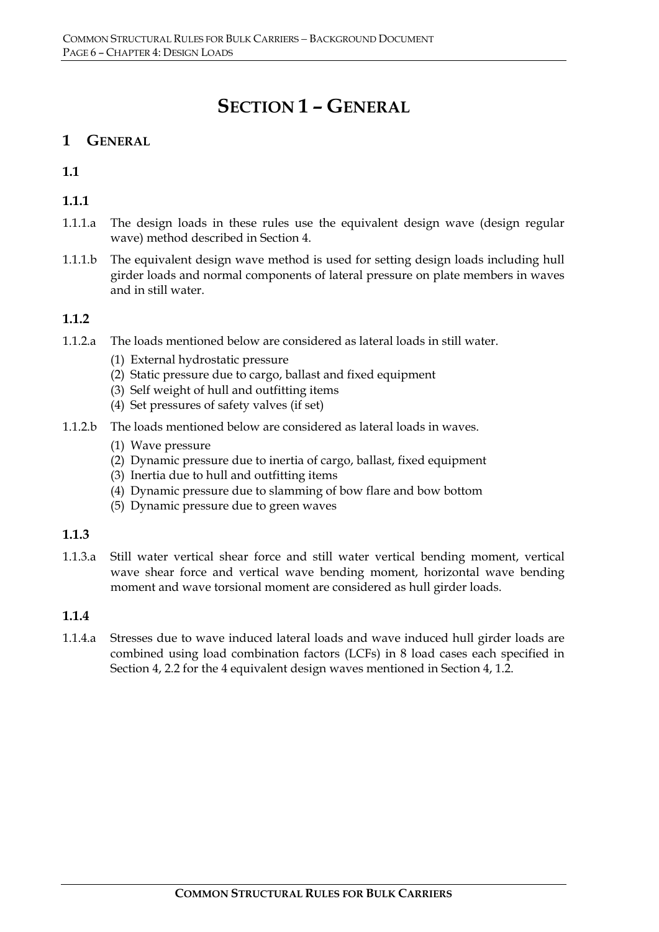## **SECTION 1 – GENERAL**

## **1 GENERAL**

## **1.1**

## **1.1.1**

- 1.1.1.a The design loads in these rules use the equivalent design wave (design regular wave) method described in Section 4.
- 1.1.1.b The equivalent design wave method is used for setting design loads including hull girder loads and normal components of lateral pressure on plate members in waves and in still water.

## **1.1.2**

- 1.1.2.a The loads mentioned below are considered as lateral loads in still water.
	- (1) External hydrostatic pressure
	- (2) Static pressure due to cargo, ballast and fixed equipment
	- (3) Self weight of hull and outfitting items
	- (4) Set pressures of safety valves (if set)
- 1.1.2.b The loads mentioned below are considered as lateral loads in waves.
	- (1) Wave pressure
	- (2) Dynamic pressure due to inertia of cargo, ballast, fixed equipment
	- (3) Inertia due to hull and outfitting items
	- (4) Dynamic pressure due to slamming of bow flare and bow bottom
	- (5) Dynamic pressure due to green waves

## **1.1.3**

1.1.3.a Still water vertical shear force and still water vertical bending moment, vertical wave shear force and vertical wave bending moment, horizontal wave bending moment and wave torsional moment are considered as hull girder loads.

#### **1.1.4**

1.1.4.a Stresses due to wave induced lateral loads and wave induced hull girder loads are combined using load combination factors (LCFs) in 8 load cases each specified in Section 4, 2.2 for the 4 equivalent design waves mentioned in Section 4, 1.2.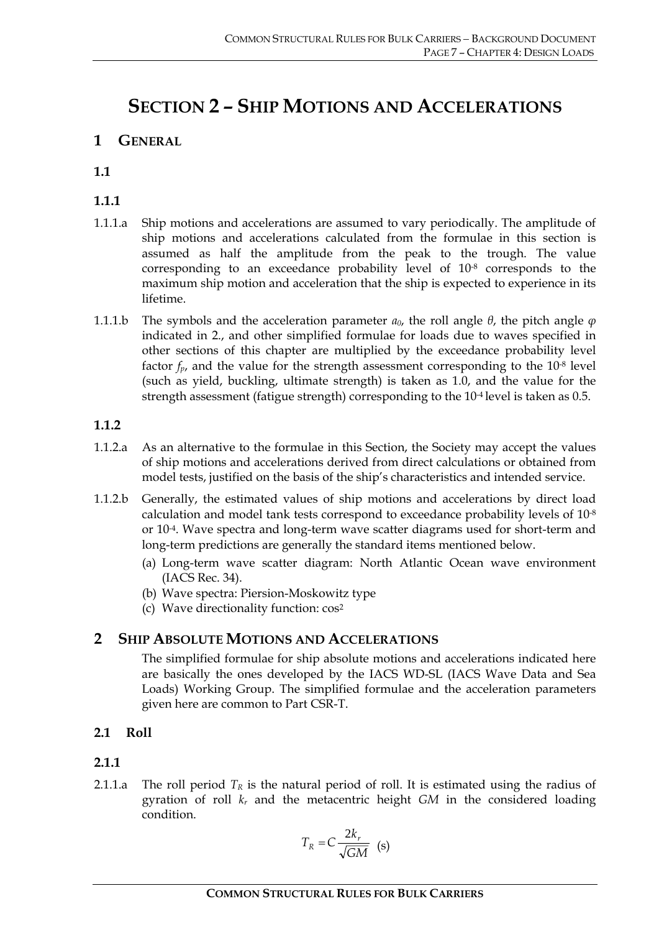## **SECTION 2 – SHIP MOTIONS AND ACCELERATIONS**

## **1 GENERAL**

**1.1**

- **1.1.1**
- 1.1.1.a Ship motions and accelerations are assumed to vary periodically. The amplitude of ship motions and accelerations calculated from the formulae in this section is assumed as half the amplitude from the peak to the trough. The value corresponding to an exceedance probability level of 10-8 corresponds to the maximum ship motion and acceleration that the ship is expected to experience in its lifetime.
- 1.1.1.b The symbols and the acceleration parameter  $a_0$ , the roll angle  $\theta$ , the pitch angle  $\varphi$ indicated in 2., and other simplified formulae for loads due to waves specified in other sections of this chapter are multiplied by the exceedance probability level factor *fp*, and the value for the strength assessment corresponding to the 10-8 level (such as yield, buckling, ultimate strength) is taken as 1.0, and the value for the strength assessment (fatigue strength) corresponding to the 10<sup>-4</sup> level is taken as 0.5.

## **1.1.2**

- 1.1.2.a As an alternative to the formulae in this Section, the Society may accept the values of ship motions and accelerations derived from direct calculations or obtained from model tests, justified on the basis of the ship's characteristics and intended service.
- 1.1.2.b Generally, the estimated values of ship motions and accelerations by direct load calculation and model tank tests correspond to exceedance probability levels of  $10^{-8}$ or 10<sup>4</sup>. Wave spectra and long-term wave scatter diagrams used for short-term and long-term predictions are generally the standard items mentioned below.
	- (a) Long-term wave scatter diagram: North Atlantic Ocean wave environment (IACS Rec. 34).
	- (b) Wave spectra: Piersion-Moskowitz type
	- (c) Wave directionality function: cos2

## **2 SHIP ABSOLUTE MOTIONS AND ACCELERATIONS**

The simplified formulae for ship absolute motions and accelerations indicated here are basically the ones developed by the IACS WD-SL (IACS Wave Data and Sea Loads) Working Group. The simplified formulae and the acceleration parameters given here are common to Part CSR-T.

## **2.1 Roll**

## **2.1.1**

2.1.1.a The roll period  $T_R$  is the natural period of roll. It is estimated using the radius of gyration of roll *kr* and the metacentric height *GM* in the considered loading condition.

$$
T_R = C \frac{2k_r}{\sqrt{GM}} \quad \text{(s)}
$$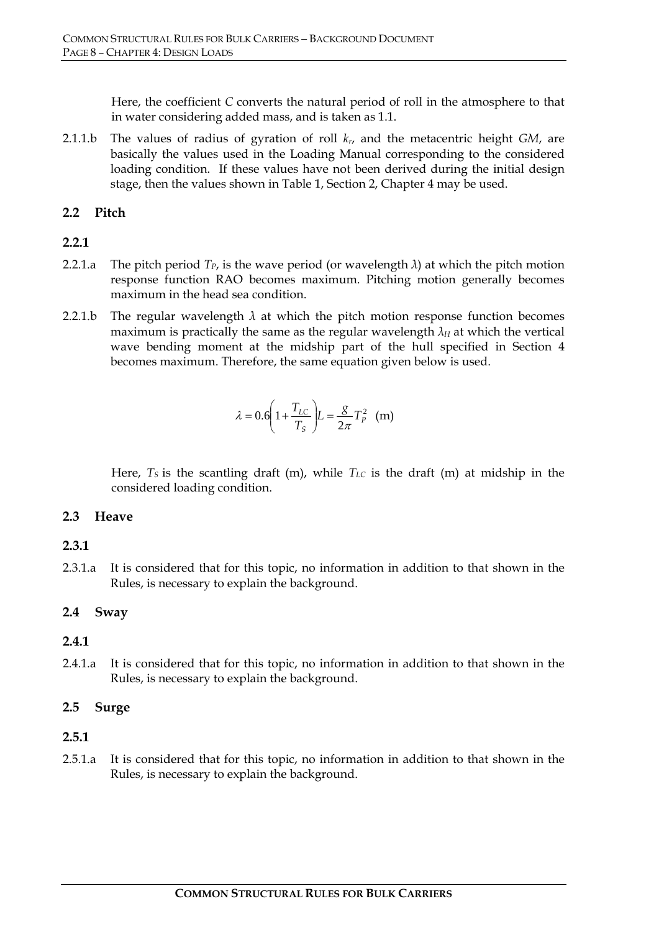Here, the coefficient *C* converts the natural period of roll in the atmosphere to that in water considering added mass, and is taken as 1.1.

2.1.1.b The values of radius of gyration of roll *kr*, and the metacentric height *GM*, are basically the values used in the Loading Manual corresponding to the considered loading condition. If these values have not been derived during the initial design stage, then the values shown in Table 1, Section 2, Chapter 4 may be used.

#### **2.2 Pitch**

#### **2.2.1**

- 2.2.1.a The pitch period  $T_P$ , is the wave period (or wavelength  $\lambda$ ) at which the pitch motion response function RAO becomes maximum. Pitching motion generally becomes maximum in the head sea condition.
- 2.2.1.b The regular wavelength *λ* at which the pitch motion response function becomes maximum is practically the same as the regular wavelength  $\lambda_H$  at which the vertical wave bending moment at the midship part of the hull specified in Section 4 becomes maximum. Therefore, the same equation given below is used.

$$
\lambda = 0.6 \left( 1 + \frac{T_{LC}}{T_S} \right) L = \frac{g}{2\pi} T_P^2 \quad (m)
$$

Here,  $T<sub>S</sub>$  is the scantling draft (m), while  $T<sub>L</sub>C$  is the draft (m) at midship in the considered loading condition.

#### **2.3 Heave**

#### **2.3.1**

2.3.1.a It is considered that for this topic, no information in addition to that shown in the Rules, is necessary to explain the background.

## **2.4 Sway**

#### **2.4.1**

2.4.1.a It is considered that for this topic, no information in addition to that shown in the Rules, is necessary to explain the background.

## **2.5 Surge**

#### **2.5.1**

2.5.1.a It is considered that for this topic, no information in addition to that shown in the Rules, is necessary to explain the background.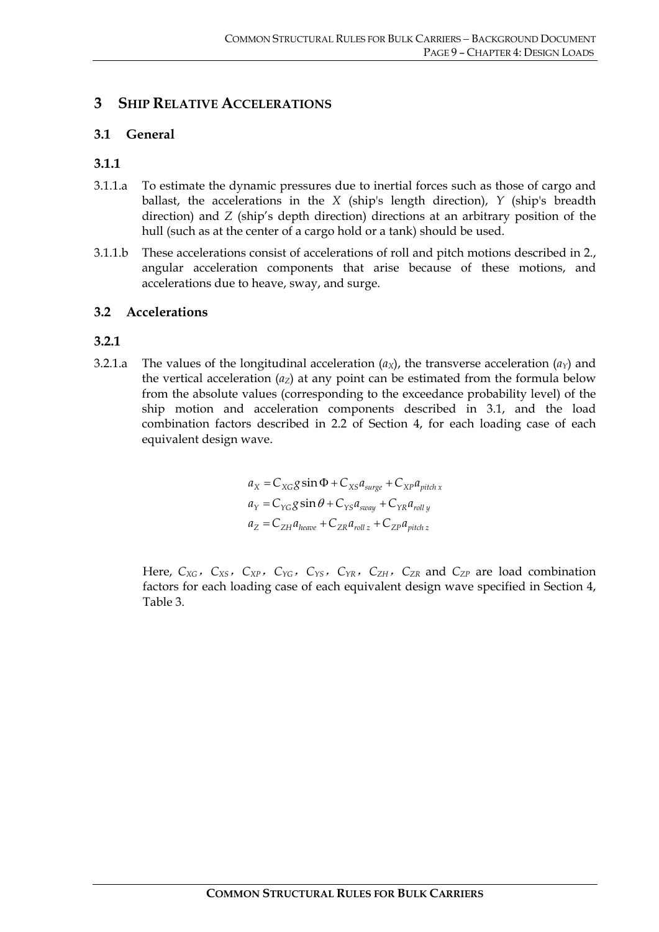## **3 SHIP RELATIVE ACCELERATIONS**

## **3.1 General**

## **3.1.1**

- 3.1.1.a To estimate the dynamic pressures due to inertial forces such as those of cargo and ballast, the accelerations in the *X* (ship's length direction), *Y* (ship's breadth direction) and *Z* (ship's depth direction) directions at an arbitrary position of the hull (such as at the center of a cargo hold or a tank) should be used.
- 3.1.1.b These accelerations consist of accelerations of roll and pitch motions described in 2., angular acceleration components that arise because of these motions, and accelerations due to heave, sway, and surge.

## **3.2 Accelerations**

## **3.2.1**

3.2.1.a The values of the longitudinal acceleration  $(a_X)$ , the transverse acceleration  $(a_Y)$  and the vertical acceleration  $(a<sub>Z</sub>)$  at any point can be estimated from the formula below from the absolute values (corresponding to the exceedance probability level) of the ship motion and acceleration components described in 3.1, and the load combination factors described in 2.2 of Section 4, for each loading case of each equivalent design wave.

$$
a_X = C_{XG} g \sin \Phi + C_{XS} a_{surge} + C_{XP} a_{pitchx}
$$
  

$$
a_Y = C_{YG} g \sin \theta + C_{YS} a_{sway} + C_{YR} a_{rolly}
$$
  

$$
a_Z = C_{ZH} a_{heave} + C_{ZR} a_{rollz} + C_{ZP} a_{pitchz}
$$

Here, *CXG*,*CXS*,*CXP*,*CYG*,*CYS*,*CYR*,*CZH*,*CZR* and *CZP* are load combination factors for each loading case of each equivalent design wave specified in Section 4, Table 3.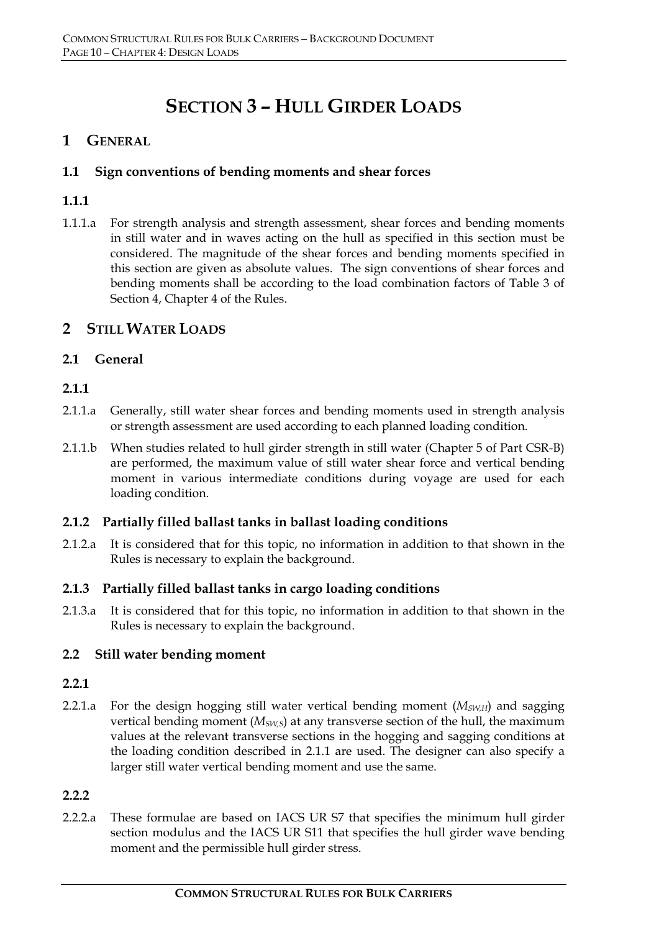## **SECTION 3 – HULL GIRDER LOADS**

## **1 GENERAL**

## **1.1 Sign conventions of bending moments and shear forces**

## **1.1.1**

1.1.1.a For strength analysis and strength assessment, shear forces and bending moments in still water and in waves acting on the hull as specified in this section must be considered. The magnitude of the shear forces and bending moments specified in this section are given as absolute values. The sign conventions of shear forces and bending moments shall be according to the load combination factors of Table 3 of Section 4, Chapter 4 of the Rules.

## **2 STILL WATER LOADS**

#### **2.1 General**

#### **2.1.1**

- 2.1.1.a Generally, still water shear forces and bending moments used in strength analysis or strength assessment are used according to each planned loading condition.
- 2.1.1.b When studies related to hull girder strength in still water (Chapter 5 of Part CSR-B) are performed, the maximum value of still water shear force and vertical bending moment in various intermediate conditions during voyage are used for each loading condition.

#### **2.1.2 Partially filled ballast tanks in ballast loading conditions**

2.1.2.a It is considered that for this topic, no information in addition to that shown in the Rules is necessary to explain the background.

#### **2.1.3 Partially filled ballast tanks in cargo loading conditions**

2.1.3.a It is considered that for this topic, no information in addition to that shown in the Rules is necessary to explain the background.

## **2.2 Still water bending moment**

#### **2.2.1**

2.2.1.a For the design hogging still water vertical bending moment ( $M_{SW,H}$ ) and sagging vertical bending moment (*MSW,S*) at any transverse section of the hull, the maximum values at the relevant transverse sections in the hogging and sagging conditions at the loading condition described in 2.1.1 are used. The designer can also specify a larger still water vertical bending moment and use the same.

#### **2.2.2**

2.2.2.a These formulae are based on IACS UR S7 that specifies the minimum hull girder section modulus and the IACS UR S11 that specifies the hull girder wave bending moment and the permissible hull girder stress.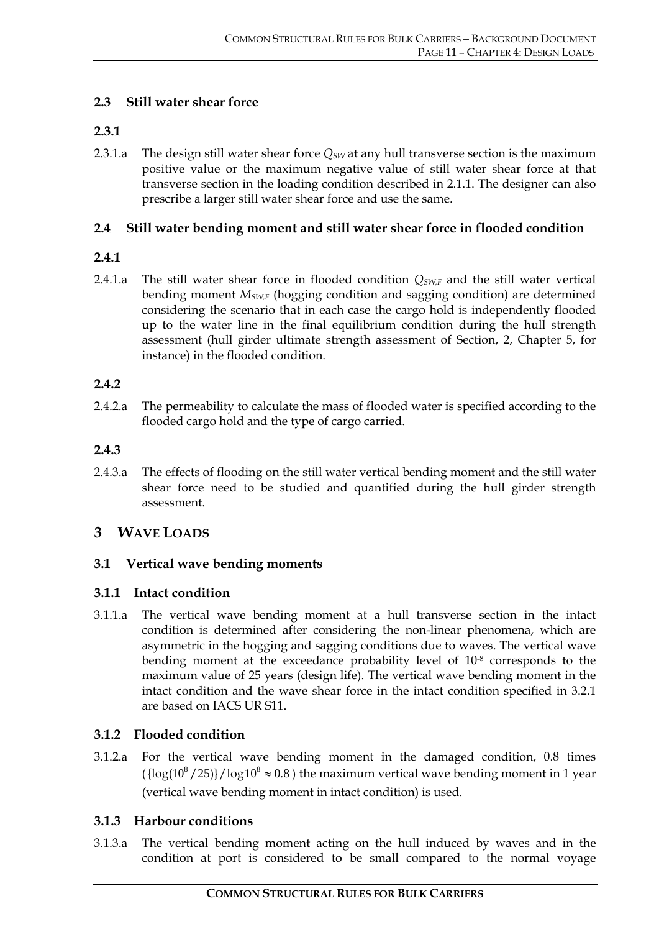### **2.3 Still water shear force**

#### **2.3.1**

2.3.1.a The design still water shear force  $Q_{SW}$  at any hull transverse section is the maximum positive value or the maximum negative value of still water shear force at that transverse section in the loading condition described in 2.1.1. The designer can also prescribe a larger still water shear force and use the same.

#### **2.4 Still water bending moment and still water shear force in flooded condition**

#### **2.4.1**

2.4.1.a The still water shear force in flooded condition  $Q_{SW,F}$  and the still water vertical bending moment *MSW,F* (hogging condition and sagging condition) are determined considering the scenario that in each case the cargo hold is independently flooded up to the water line in the final equilibrium condition during the hull strength assessment (hull girder ultimate strength assessment of Section, 2, Chapter 5, for instance) in the flooded condition.

#### **2.4.2**

2.4.2.a The permeability to calculate the mass of flooded water is specified according to the flooded cargo hold and the type of cargo carried.

#### **2.4.3**

2.4.3.a The effects of flooding on the still water vertical bending moment and the still water shear force need to be studied and quantified during the hull girder strength assessment.

## **3 WAVE LOADS**

## **3.1 Vertical wave bending moments**

#### **3.1.1 Intact condition**

3.1.1.a The vertical wave bending moment at a hull transverse section in the intact condition is determined after considering the non-linear phenomena, which are asymmetric in the hogging and sagging conditions due to waves. The vertical wave bending moment at the exceedance probability level of 10-8 corresponds to the maximum value of 25 years (design life). The vertical wave bending moment in the intact condition and the wave shear force in the intact condition specified in 3.2.1 are based on IACS UR S11.

#### **3.1.2 Flooded condition**

3.1.2.a For the vertical wave bending moment in the damaged condition, 0.8 times  $({\log(10^8/25)})/{\log 10^8} \approx 0.8$ ) the maximum vertical wave bending moment in 1 year (vertical wave bending moment in intact condition) is used.

#### **3.1.3 Harbour conditions**

3.1.3.a The vertical bending moment acting on the hull induced by waves and in the condition at port is considered to be small compared to the normal voyage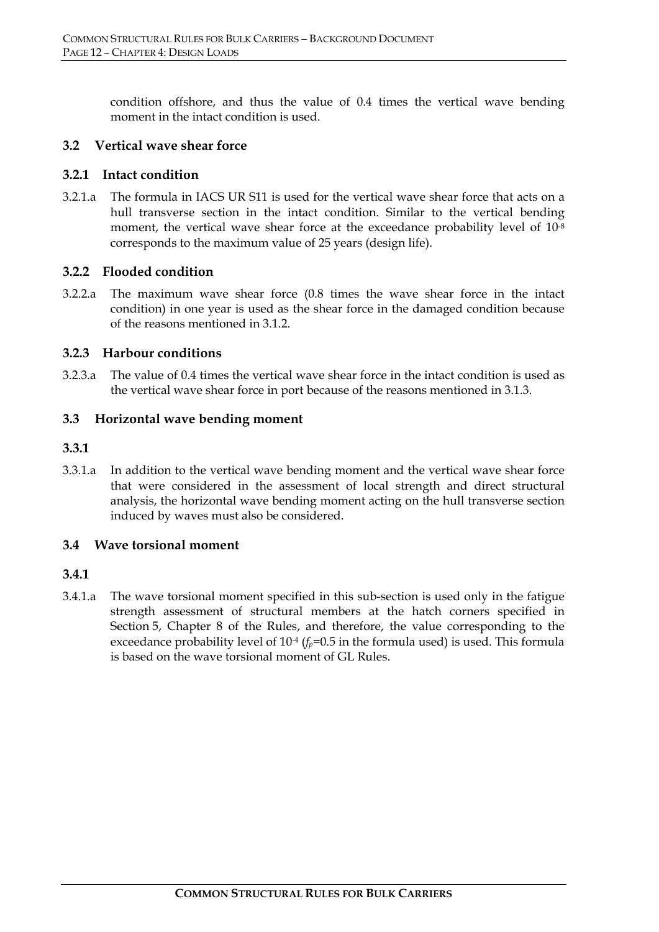condition offshore, and thus the value of 0.4 times the vertical wave bending moment in the intact condition is used.

#### **3.2 Vertical wave shear force**

#### **3.2.1 Intact condition**

3.2.1.a The formula in IACS UR S11 is used for the vertical wave shear force that acts on a hull transverse section in the intact condition. Similar to the vertical bending moment, the vertical wave shear force at the exceedance probability level of  $10^{-8}$ corresponds to the maximum value of 25 years (design life).

#### **3.2.2 Flooded condition**

3.2.2.a The maximum wave shear force (0.8 times the wave shear force in the intact condition) in one year is used as the shear force in the damaged condition because of the reasons mentioned in 3.1.2.

#### **3.2.3 Harbour conditions**

3.2.3.a The value of 0.4 times the vertical wave shear force in the intact condition is used as the vertical wave shear force in port because of the reasons mentioned in 3.1.3.

#### **3.3 Horizontal wave bending moment**

#### **3.3.1**

3.3.1.a In addition to the vertical wave bending moment and the vertical wave shear force that were considered in the assessment of local strength and direct structural analysis, the horizontal wave bending moment acting on the hull transverse section induced by waves must also be considered.

#### **3.4 Wave torsional moment**

#### **3.4.1**

3.4.1.a The wave torsional moment specified in this sub-section is used only in the fatigue strength assessment of structural members at the hatch corners specified in Section 5, Chapter 8 of the Rules, and therefore, the value corresponding to the exceedance probability level of  $10^{-4}$  ( $f_p$ =0.5 in the formula used) is used. This formula is based on the wave torsional moment of GL Rules.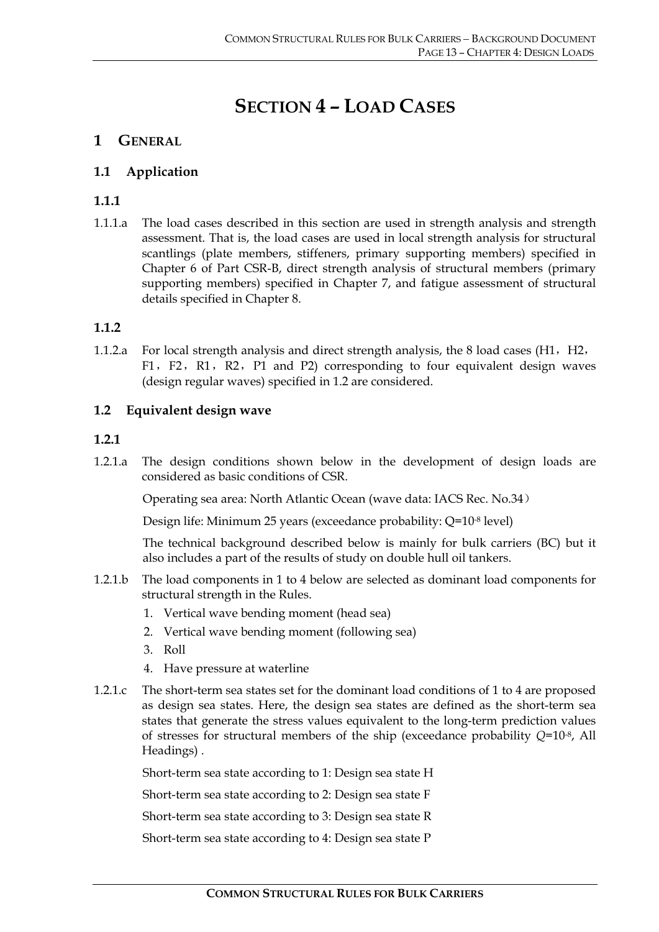## **SECTION 4 – LOAD CASES**

## **1 GENERAL**

## **1.1 Application**

## **1.1.1**

1.1.1.a The load cases described in this section are used in strength analysis and strength assessment. That is, the load cases are used in local strength analysis for structural scantlings (plate members, stiffeners, primary supporting members) specified in Chapter 6 of Part CSR-B, direct strength analysis of structural members (primary supporting members) specified in Chapter 7, and fatigue assessment of structural details specified in Chapter 8.

## **1.1.2**

1.1.2.a For local strength analysis and direct strength analysis, the 8 load cases ( $H1$ ,  $H2$ , F1, F2, R1, R2, P1 and P2) corresponding to four equivalent design waves (design regular waves) specified in 1.2 are considered.

#### **1.2 Equivalent design wave**

#### **1.2.1**

1.2.1.a The design conditions shown below in the development of design loads are considered as basic conditions of CSR.

Operating sea area: North Atlantic Ocean (wave data: IACS Rec. No.34)

Design life: Minimum 25 years (exceedance probability: Q=10-8 level)

The technical background described below is mainly for bulk carriers (BC) but it also includes a part of the results of study on double hull oil tankers.

- 1.2.1.b The load components in 1 to 4 below are selected as dominant load components for structural strength in the Rules.
	- 1. Vertical wave bending moment (head sea)
	- 2. Vertical wave bending moment (following sea)
	- 3. Roll
	- 4. Have pressure at waterline
- 1.2.1.c The short-term sea states set for the dominant load conditions of 1 to 4 are proposed as design sea states. Here, the design sea states are defined as the short-term sea states that generate the stress values equivalent to the long-term prediction values of stresses for structural members of the ship (exceedance probability *Q*=10-8, All Headings) .

Short-term sea state according to 1: Design sea state H

Short-term sea state according to 2: Design sea state F

Short-term sea state according to 3: Design sea state R

Short-term sea state according to 4: Design sea state P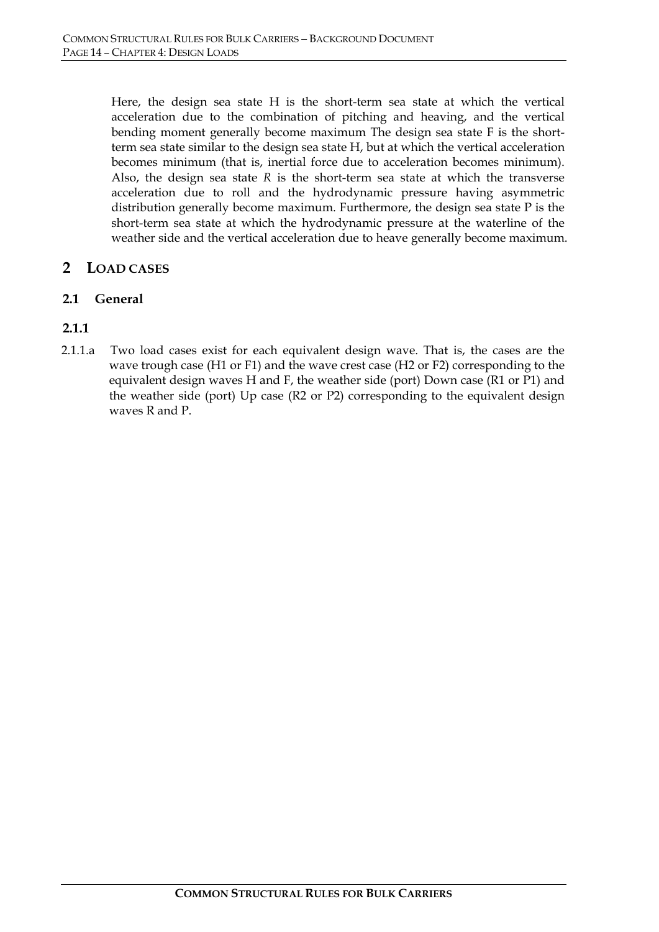Here, the design sea state H is the short-term sea state at which the vertical acceleration due to the combination of pitching and heaving, and the vertical bending moment generally become maximum The design sea state F is the shortterm sea state similar to the design sea state H, but at which the vertical acceleration becomes minimum (that is, inertial force due to acceleration becomes minimum). Also, the design sea state *R* is the short-term sea state at which the transverse acceleration due to roll and the hydrodynamic pressure having asymmetric distribution generally become maximum. Furthermore, the design sea state P is the short-term sea state at which the hydrodynamic pressure at the waterline of the weather side and the vertical acceleration due to heave generally become maximum.

## **2 LOAD CASES**

## **2.1 General**

## **2.1.1**

2.1.1.a Two load cases exist for each equivalent design wave. That is, the cases are the wave trough case (H1 or F1) and the wave crest case (H2 or F2) corresponding to the equivalent design waves H and F, the weather side (port) Down case (R1 or P1) and the weather side (port) Up case (R2 or P2) corresponding to the equivalent design waves R and P.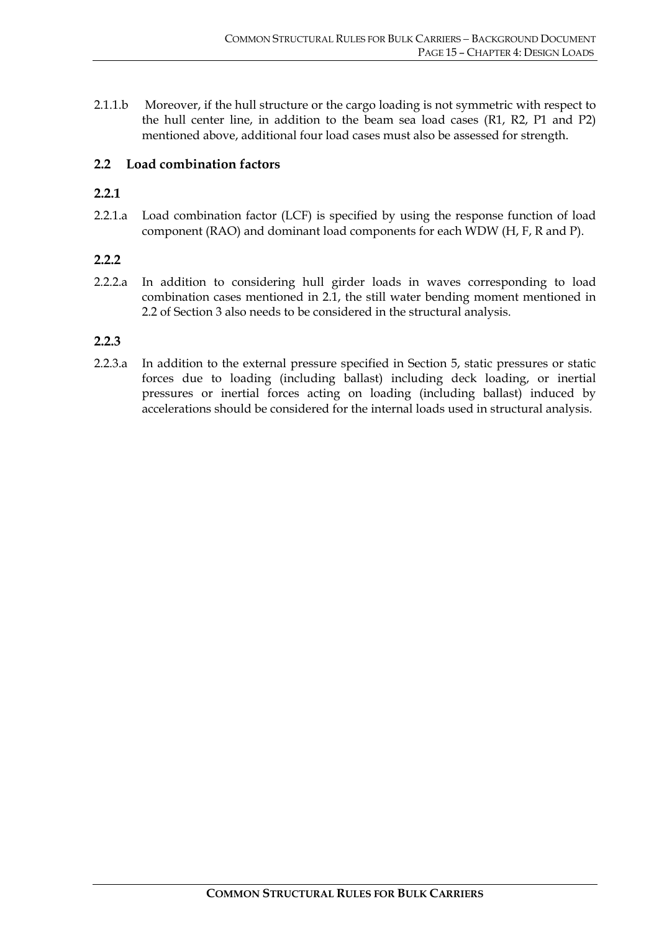2.1.1.b Moreover, if the hull structure or the cargo loading is not symmetric with respect to the hull center line, in addition to the beam sea load cases (R1, R2, P1 and P2) mentioned above, additional four load cases must also be assessed for strength.

## **2.2 Load combination factors**

#### **2.2.1**

2.2.1.a Load combination factor (LCF) is specified by using the response function of load component (RAO) and dominant load components for each WDW (H, F, R and P).

#### **2.2.2**

2.2.2.a In addition to considering hull girder loads in waves corresponding to load combination cases mentioned in 2.1, the still water bending moment mentioned in 2.2 of Section 3 also needs to be considered in the structural analysis.

#### **2.2.3**

2.2.3.a In addition to the external pressure specified in Section 5, static pressures or static forces due to loading (including ballast) including deck loading, or inertial pressures or inertial forces acting on loading (including ballast) induced by accelerations should be considered for the internal loads used in structural analysis.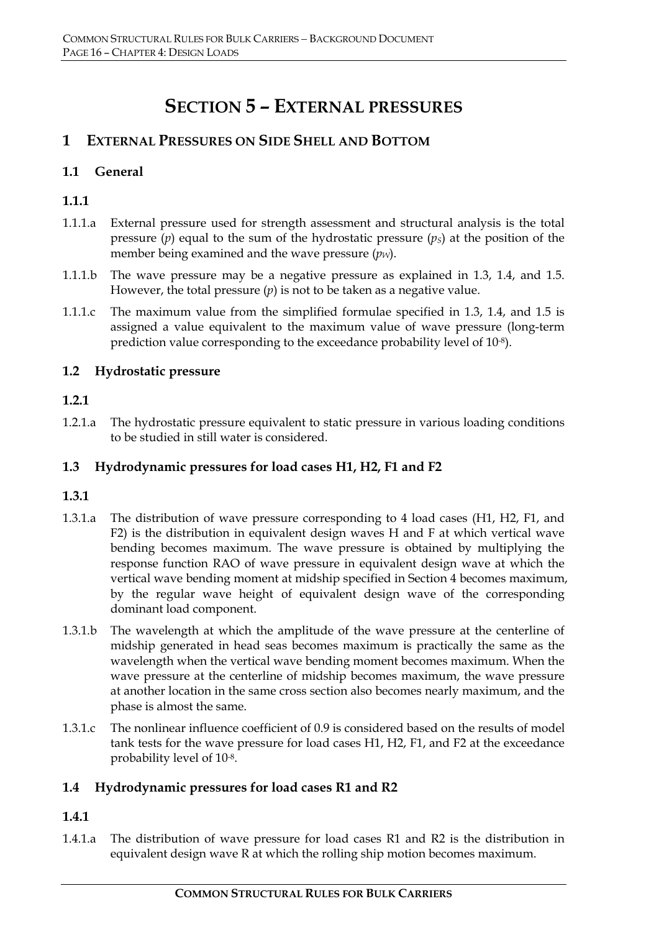## **SECTION 5 – EXTERNAL PRESSURES**

## **1 EXTERNAL PRESSURES ON SIDE SHELL AND BOTTOM**

#### **1.1 General**

## **1.1.1**

- 1.1.1.a External pressure used for strength assessment and structural analysis is the total pressure (*p*) equal to the sum of the hydrostatic pressure (*pS*) at the position of the member being examined and the wave pressure  $(p<sub>W</sub>)$ .
- 1.1.1.b The wave pressure may be a negative pressure as explained in 1.3, 1.4, and 1.5. However, the total pressure (*p*) is not to be taken as a negative value.
- 1.1.1.c The maximum value from the simplified formulae specified in 1.3, 1.4, and 1.5 is assigned a value equivalent to the maximum value of wave pressure (long-term prediction value corresponding to the exceedance probability level of 10-8).

#### **1.2 Hydrostatic pressure**

#### **1.2.1**

1.2.1.a The hydrostatic pressure equivalent to static pressure in various loading conditions to be studied in still water is considered.

#### **1.3 Hydrodynamic pressures for load cases H1, H2, F1 and F2**

#### **1.3.1**

- 1.3.1.a The distribution of wave pressure corresponding to 4 load cases (H1, H2, F1, and F2) is the distribution in equivalent design waves H and F at which vertical wave bending becomes maximum. The wave pressure is obtained by multiplying the response function RAO of wave pressure in equivalent design wave at which the vertical wave bending moment at midship specified in Section 4 becomes maximum, by the regular wave height of equivalent design wave of the corresponding dominant load component.
- 1.3.1.b The wavelength at which the amplitude of the wave pressure at the centerline of midship generated in head seas becomes maximum is practically the same as the wavelength when the vertical wave bending moment becomes maximum. When the wave pressure at the centerline of midship becomes maximum, the wave pressure at another location in the same cross section also becomes nearly maximum, and the phase is almost the same.
- 1.3.1.c The nonlinear influence coefficient of 0.9 is considered based on the results of model tank tests for the wave pressure for load cases H1, H2, F1, and F2 at the exceedance probability level of 10-8.

#### **1.4 Hydrodynamic pressures for load cases R1 and R2**

#### **1.4.1**

1.4.1.a The distribution of wave pressure for load cases R1 and R2 is the distribution in equivalent design wave R at which the rolling ship motion becomes maximum.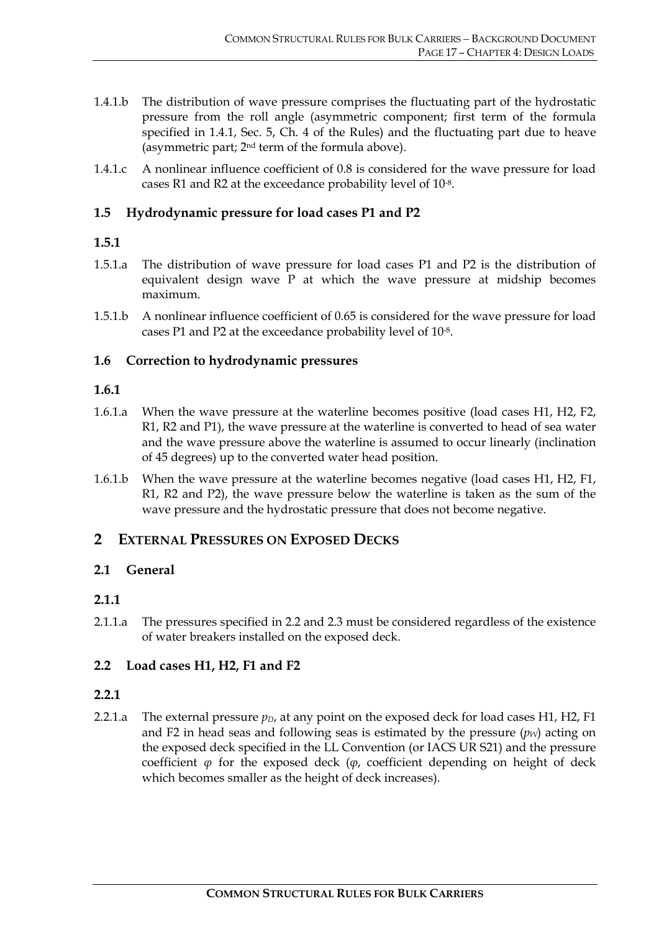- 1.4.1.b The distribution of wave pressure comprises the fluctuating part of the hydrostatic pressure from the roll angle (asymmetric component; first term of the formula specified in 1.4.1, Sec. 5, Ch. 4 of the Rules) and the fluctuating part due to heave (asymmetric part; 2nd term of the formula above).
- 1.4.1.c A nonlinear influence coefficient of 0.8 is considered for the wave pressure for load cases R1 and R2 at the exceedance probability level of 10-8.

#### **1.5 Hydrodynamic pressure for load cases P1 and P2**

#### **1.5.1**

- 1.5.1.a The distribution of wave pressure for load cases P1 and P2 is the distribution of equivalent design wave P at which the wave pressure at midship becomes maximum.
- 1.5.1.b A nonlinear influence coefficient of 0.65 is considered for the wave pressure for load cases P1 and P2 at the exceedance probability level of 10-8.

#### **1.6 Correction to hydrodynamic pressures**

#### **1.6.1**

- 1.6.1.a When the wave pressure at the waterline becomes positive (load cases H1, H2, F2, R1, R2 and P1), the wave pressure at the waterline is converted to head of sea water and the wave pressure above the waterline is assumed to occur linearly (inclination of 45 degrees) up to the converted water head position.
- 1.6.1.b When the wave pressure at the waterline becomes negative (load cases H1, H2, F1, R1, R2 and P2), the wave pressure below the waterline is taken as the sum of the wave pressure and the hydrostatic pressure that does not become negative.

## **2 EXTERNAL PRESSURES ON EXPOSED DECKS**

#### **2.1 General**

#### **2.1.1**

2.1.1.a The pressures specified in 2.2 and 2.3 must be considered regardless of the existence of water breakers installed on the exposed deck.

#### **2.2 Load cases H1, H2, F1 and F2**

#### **2.2.1**

2.2.1.a The external pressure  $p_D$ , at any point on the exposed deck for load cases H1, H2, F1 and F2 in head seas and following seas is estimated by the pressure  $(p<sub>W</sub>)$  acting on the exposed deck specified in the LL Convention (or IACS UR S21) and the pressure coefficient *φ* for the exposed deck (*φ*, coefficient depending on height of deck which becomes smaller as the height of deck increases).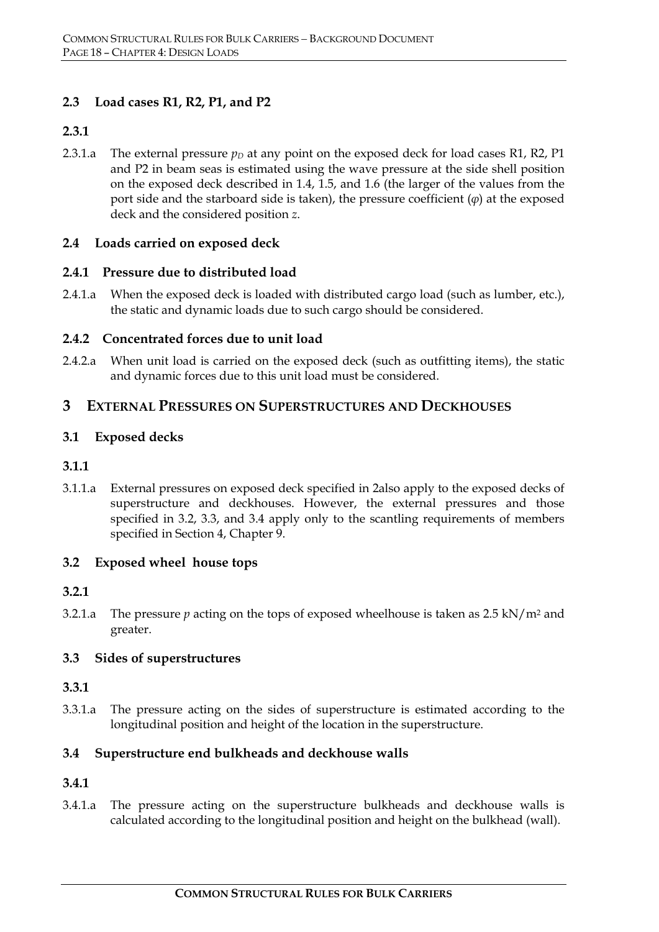## **2.3 Load cases R1, R2, P1, and P2**

#### **2.3.1**

2.3.1.a The external pressure  $p<sub>D</sub>$  at any point on the exposed deck for load cases R1, R2, P1 and P2 in beam seas is estimated using the wave pressure at the side shell position on the exposed deck described in 1.4, 1.5, and 1.6 (the larger of the values from the port side and the starboard side is taken), the pressure coefficient (*φ*) at the exposed deck and the considered position *z*.

## **2.4 Loads carried on exposed deck**

#### **2.4.1 Pressure due to distributed load**

2.4.1.a When the exposed deck is loaded with distributed cargo load (such as lumber, etc.), the static and dynamic loads due to such cargo should be considered.

#### **2.4.2 Concentrated forces due to unit load**

2.4.2.a When unit load is carried on the exposed deck (such as outfitting items), the static and dynamic forces due to this unit load must be considered.

## **3 EXTERNAL PRESSURES ON SUPERSTRUCTURES AND DECKHOUSES**

## **3.1 Exposed decks**

## **3.1.1**

3.1.1.a External pressures on exposed deck specified in 2also apply to the exposed decks of superstructure and deckhouses. However, the external pressures and those specified in 3.2, 3.3, and 3.4 apply only to the scantling requirements of members specified in Section 4, Chapter 9.

#### **3.2 Exposed wheel house tops**

#### **3.2.1**

3.2.1.a The pressure *p* acting on the tops of exposed wheelhouse is taken as 2.5 kN/m2 and greater.

#### **3.3 Sides of superstructures**

#### **3.3.1**

3.3.1.a The pressure acting on the sides of superstructure is estimated according to the longitudinal position and height of the location in the superstructure.

## **3.4 Superstructure end bulkheads and deckhouse walls**

#### **3.4.1**

3.4.1.a The pressure acting on the superstructure bulkheads and deckhouse walls is calculated according to the longitudinal position and height on the bulkhead (wall).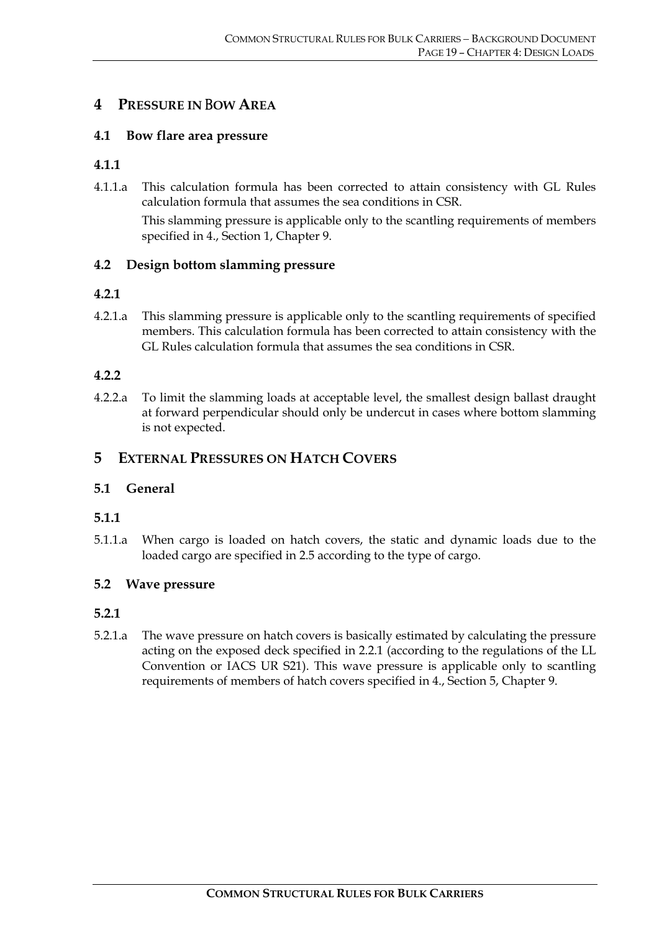## **4 PRESSURE IN** B**OW AREA**

#### **4.1 Bow flare area pressure**

#### **4.1.1**

4.1.1.a This calculation formula has been corrected to attain consistency with GL Rules calculation formula that assumes the sea conditions in CSR.

This slamming pressure is applicable only to the scantling requirements of members specified in 4., Section 1, Chapter 9.

## **4.2 Design bottom slamming pressure**

#### **4.2.1**

4.2.1.a This slamming pressure is applicable only to the scantling requirements of specified members. This calculation formula has been corrected to attain consistency with the GL Rules calculation formula that assumes the sea conditions in CSR.

#### **4.2.2**

4.2.2.a To limit the slamming loads at acceptable level, the smallest design ballast draught at forward perpendicular should only be undercut in cases where bottom slamming is not expected.

## **5 EXTERNAL PRESSURES ON HATCH COVERS**

#### **5.1 General**

#### **5.1.1**

5.1.1.a When cargo is loaded on hatch covers, the static and dynamic loads due to the loaded cargo are specified in 2.5 according to the type of cargo.

#### **5.2 Wave pressure**

## **5.2.1**

5.2.1.a The wave pressure on hatch covers is basically estimated by calculating the pressure acting on the exposed deck specified in 2.2.1 (according to the regulations of the LL Convention or IACS UR S21). This wave pressure is applicable only to scantling requirements of members of hatch covers specified in 4., Section 5, Chapter 9.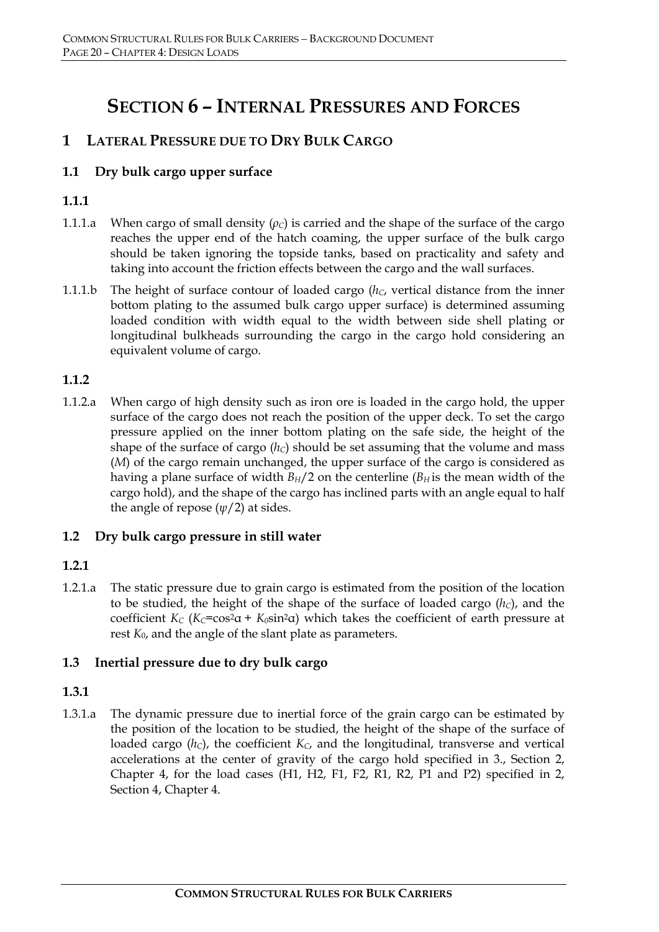## **SECTION 6 – INTERNAL PRESSURES AND FORCES**

## **1 LATERAL PRESSURE DUE TO DRY BULK CARGO**

#### **1.1 Dry bulk cargo upper surface**

## **1.1.1**

- 1.1.1.a When cargo of small density (*ρC*) is carried and the shape of the surface of the cargo reaches the upper end of the hatch coaming, the upper surface of the bulk cargo should be taken ignoring the topside tanks, based on practicality and safety and taking into account the friction effects between the cargo and the wall surfaces.
- 1.1.1.b The height of surface contour of loaded cargo  $(h<sub>C</sub>)$ , vertical distance from the inner bottom plating to the assumed bulk cargo upper surface) is determined assuming loaded condition with width equal to the width between side shell plating or longitudinal bulkheads surrounding the cargo in the cargo hold considering an equivalent volume of cargo.

#### **1.1.2**

1.1.2.a When cargo of high density such as iron ore is loaded in the cargo hold, the upper surface of the cargo does not reach the position of the upper deck. To set the cargo pressure applied on the inner bottom plating on the safe side, the height of the shape of the surface of cargo  $(h<sub>C</sub>)$  should be set assuming that the volume and mass (*M*) of the cargo remain unchanged, the upper surface of the cargo is considered as having a plane surface of width  $B_H/2$  on the centerline ( $B_H$  is the mean width of the cargo hold), and the shape of the cargo has inclined parts with an angle equal to half the angle of repose  $(\psi/2)$  at sides.

#### **1.2 Dry bulk cargo pressure in still water**

#### **1.2.1**

1.2.1.a The static pressure due to grain cargo is estimated from the position of the location to be studied, the height of the shape of the surface of loaded cargo  $(h<sub>C</sub>)$ , and the coefficient  $K_C$  ( $K_C$ =cos<sup>2</sup> $\alpha$  +  $K_0$ sin<sup>2</sup> $\alpha$ ) which takes the coefficient of earth pressure at rest *K*0, and the angle of the slant plate as parameters.

#### **1.3 Inertial pressure due to dry bulk cargo**

#### **1.3.1**

1.3.1.a The dynamic pressure due to inertial force of the grain cargo can be estimated by the position of the location to be studied, the height of the shape of the surface of loaded cargo  $(h<sub>C</sub>)$ , the coefficient  $K<sub>C</sub>$ , and the longitudinal, transverse and vertical accelerations at the center of gravity of the cargo hold specified in 3., Section 2, Chapter 4, for the load cases (H1, H2, F1, F2, R1, R2, P1 and P2) specified in 2, Section 4, Chapter 4.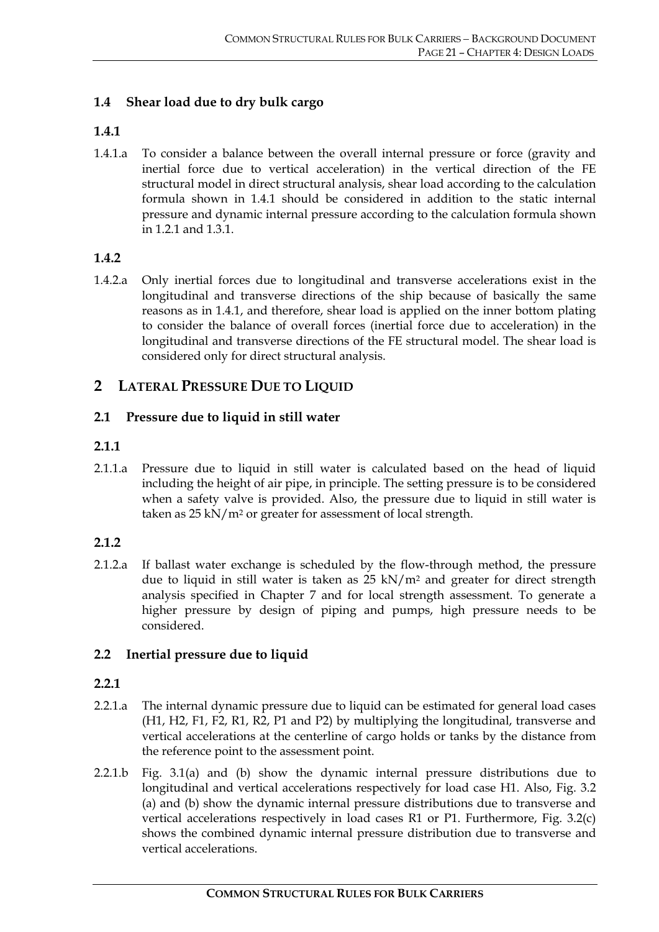## **1.4 Shear load due to dry bulk cargo**

#### **1.4.1**

1.4.1.a To consider a balance between the overall internal pressure or force (gravity and inertial force due to vertical acceleration) in the vertical direction of the FE structural model in direct structural analysis, shear load according to the calculation formula shown in 1.4.1 should be considered in addition to the static internal pressure and dynamic internal pressure according to the calculation formula shown in 1.2.1 and 1.3.1.

#### **1.4.2**

1.4.2.a Only inertial forces due to longitudinal and transverse accelerations exist in the longitudinal and transverse directions of the ship because of basically the same reasons as in 1.4.1, and therefore, shear load is applied on the inner bottom plating to consider the balance of overall forces (inertial force due to acceleration) in the longitudinal and transverse directions of the FE structural model. The shear load is considered only for direct structural analysis.

## **2 LATERAL PRESSURE DUE TO LIQUID**

#### **2.1 Pressure due to liquid in still water**

#### **2.1.1**

2.1.1.a Pressure due to liquid in still water is calculated based on the head of liquid including the height of air pipe, in principle. The setting pressure is to be considered when a safety valve is provided. Also, the pressure due to liquid in still water is taken as 25 kN/m2 or greater for assessment of local strength.

#### **2.1.2**

2.1.2.a If ballast water exchange is scheduled by the flow-through method, the pressure due to liquid in still water is taken as 25 kN/m2 and greater for direct strength analysis specified in Chapter 7 and for local strength assessment. To generate a higher pressure by design of piping and pumps, high pressure needs to be considered.

#### **2.2 Inertial pressure due to liquid**

#### **2.2.1**

- 2.2.1.a The internal dynamic pressure due to liquid can be estimated for general load cases (H1, H2, F1, F2, R1, R2, P1 and P2) by multiplying the longitudinal, transverse and vertical accelerations at the centerline of cargo holds or tanks by the distance from the reference point to the assessment point.
- 2.2.1.b Fig. 3.1(a) and (b) show the dynamic internal pressure distributions due to longitudinal and vertical accelerations respectively for load case H1. Also, Fig. 3.2 (a) and (b) show the dynamic internal pressure distributions due to transverse and vertical accelerations respectively in load cases R1 or P1. Furthermore, Fig. 3.2(c) shows the combined dynamic internal pressure distribution due to transverse and vertical accelerations.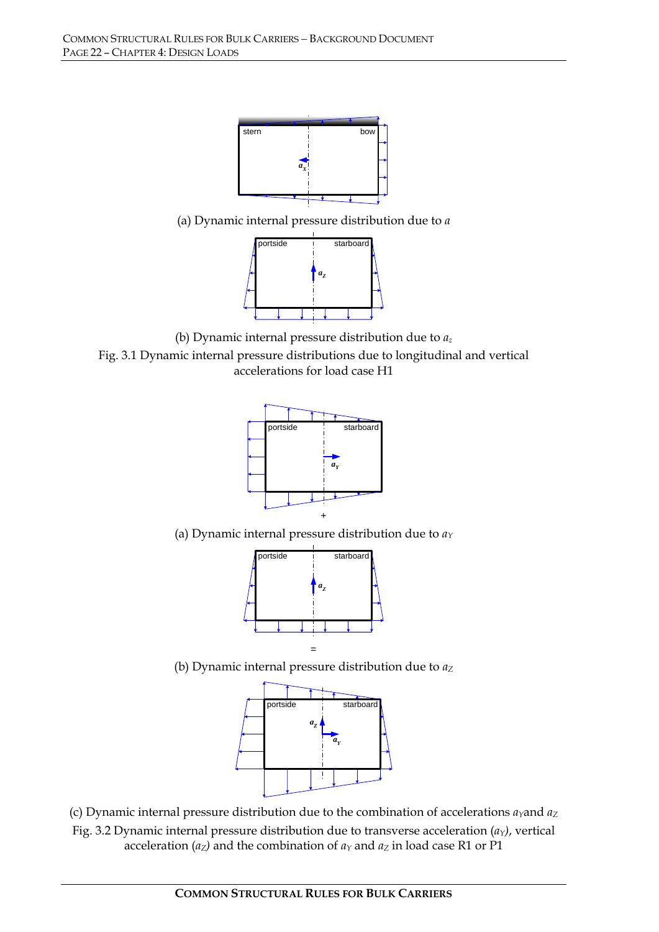

(a) Dynamic internal pressure distribution due to *a* 



(b) Dynamic internal pressure distribution due to *az*

Fig. 3.1 Dynamic internal pressure distributions due to longitudinal and vertical accelerations for load case H1



(a) Dynamic internal pressure distribution due to  $a_Y$ 



(b) Dynamic internal pressure distribution due to  $a_Z$ 



(c) Dynamic internal pressure distribution due to the combination of accelerations  $a_Y$ and  $a_Z$ Fig. 3.2 Dynamic internal pressure distribution due to transverse acceleration (*a<sub>Y</sub>*), vertical acceleration ( $a_Z$ ) and the combination of  $a_Y$  and  $a_Z$  in load case R1 or P1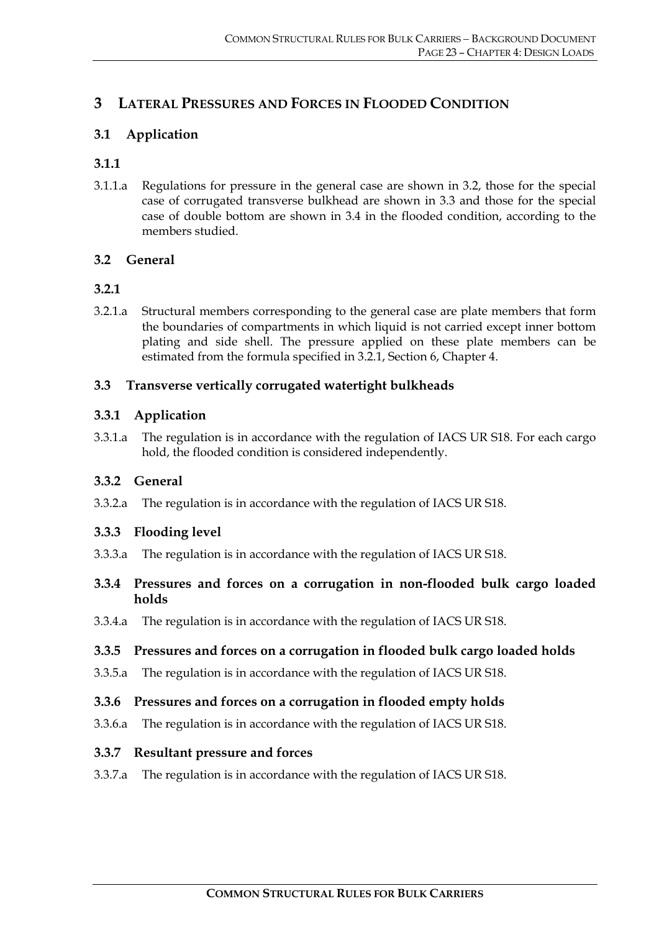## **3 LATERAL PRESSURES AND FORCES IN FLOODED CONDITION**

## **3.1 Application**

#### **3.1.1**

3.1.1.a Regulations for pressure in the general case are shown in 3.2, those for the special case of corrugated transverse bulkhead are shown in 3.3 and those for the special case of double bottom are shown in 3.4 in the flooded condition, according to the members studied.

#### **3.2 General**

#### **3.2.1**

3.2.1.a Structural members corresponding to the general case are plate members that form the boundaries of compartments in which liquid is not carried except inner bottom plating and side shell. The pressure applied on these plate members can be estimated from the formula specified in 3.2.1, Section 6, Chapter 4.

#### **3.3 Transverse vertically corrugated watertight bulkheads**

#### **3.3.1 Application**

3.3.1.a The regulation is in accordance with the regulation of IACS UR S18. For each cargo hold, the flooded condition is considered independently.

#### **3.3.2 General**

3.3.2.a The regulation is in accordance with the regulation of IACS UR S18.

#### **3.3.3 Flooding level**

- 3.3.3.a The regulation is in accordance with the regulation of IACS UR S18.
- **3.3.4 Pressures and forces on a corrugation in non-flooded bulk cargo loaded holds**
- 3.3.4.a The regulation is in accordance with the regulation of IACS UR S18.

#### **3.3.5 Pressures and forces on a corrugation in flooded bulk cargo loaded holds**

3.3.5.a The regulation is in accordance with the regulation of IACS UR S18.

#### **3.3.6 Pressures and forces on a corrugation in flooded empty holds**

3.3.6.a The regulation is in accordance with the regulation of IACS UR S18.

#### **3.3.7 Resultant pressure and forces**

3.3.7.a The regulation is in accordance with the regulation of IACS UR S18.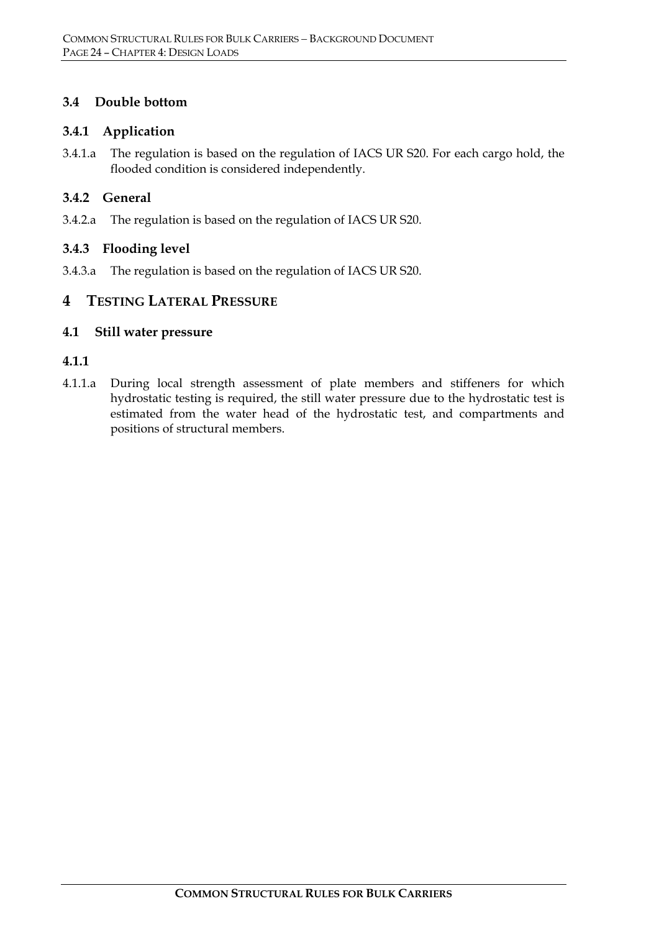#### **3.4 Double bottom**

#### **3.4.1 Application**

3.4.1.a The regulation is based on the regulation of IACS UR S20. For each cargo hold, the flooded condition is considered independently.

#### **3.4.2 General**

3.4.2.a The regulation is based on the regulation of IACS UR S20.

#### **3.4.3 Flooding level**

3.4.3.a The regulation is based on the regulation of IACS UR S20.

#### **4 TESTING LATERAL PRESSURE**

#### **4.1 Still water pressure**

#### **4.1.1**

4.1.1.a During local strength assessment of plate members and stiffeners for which hydrostatic testing is required, the still water pressure due to the hydrostatic test is estimated from the water head of the hydrostatic test, and compartments and positions of structural members.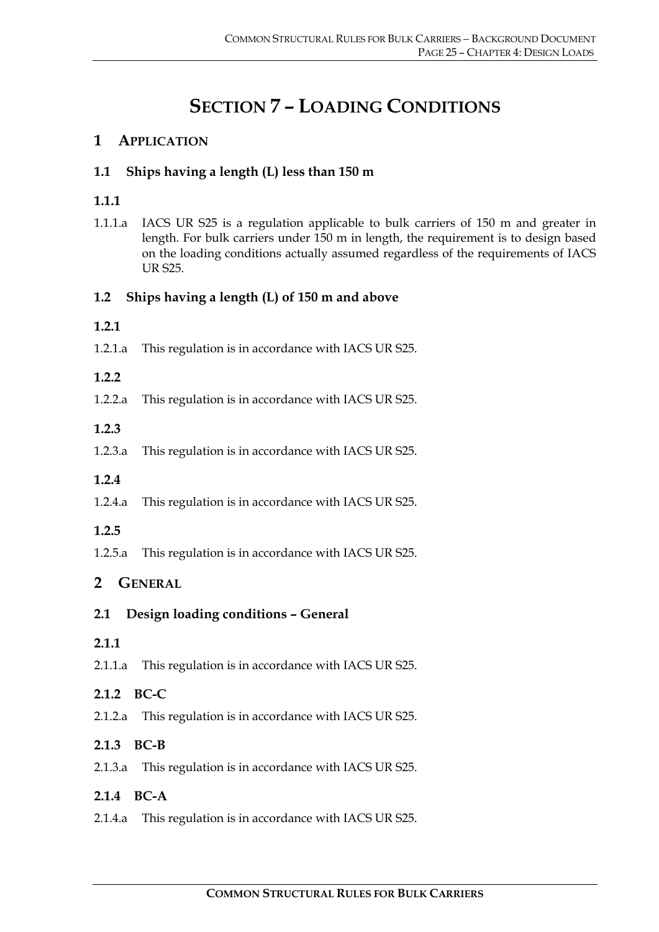## **SECTION 7 – LOADING CONDITIONS**

## **1 APPLICATION**

## **1.1 Ships having a length (L) less than 150 m**

## **1.1.1**

1.1.1.a IACS UR S25 is a regulation applicable to bulk carriers of 150 m and greater in length. For bulk carriers under 150 m in length, the requirement is to design based on the loading conditions actually assumed regardless of the requirements of IACS UR S25.

#### **1.2 Ships having a length (L) of 150 m and above**

#### **1.2.1**

1.2.1.a This regulation is in accordance with IACS UR S25.

#### **1.2.2**

1.2.2.a This regulation is in accordance with IACS UR S25.

#### **1.2.3**

1.2.3.a This regulation is in accordance with IACS UR S25.

#### **1.2.4**

1.2.4.a This regulation is in accordance with IACS UR S25.

#### **1.2.5**

1.2.5.a This regulation is in accordance with IACS UR S25.

## **2 GENERAL**

#### **2.1 Design loading conditions – General**

- **2.1.1**
- 2.1.1.a This regulation is in accordance with IACS UR S25.

#### **2.1.2 BC-C**

2.1.2.a This regulation is in accordance with IACS UR S25.

#### **2.1.3 BC-B**

2.1.3.a This regulation is in accordance with IACS UR S25.

#### **2.1.4 BC-A**

2.1.4.a This regulation is in accordance with IACS UR S25.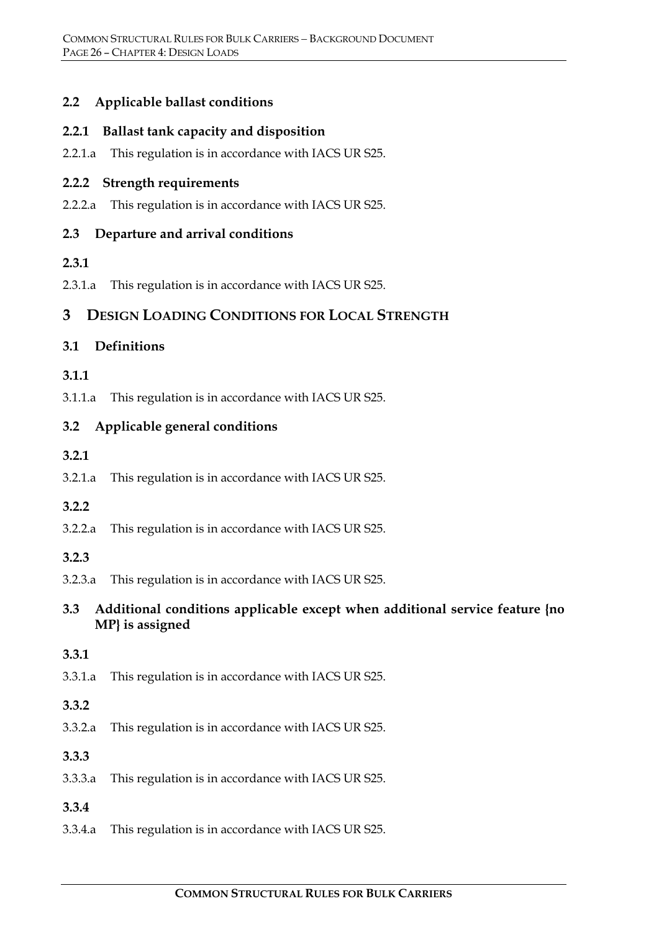## **2.2 Applicable ballast conditions**

#### **2.2.1 Ballast tank capacity and disposition**

2.2.1.a This regulation is in accordance with IACS UR S25.

## **2.2.2 Strength requirements**

2.2.2.a This regulation is in accordance with IACS UR S25.

## **2.3 Departure and arrival conditions**

## **2.3.1**

2.3.1.a This regulation is in accordance with IACS UR S25.

## **3 DESIGN LOADING CONDITIONS FOR LOCAL STRENGTH**

## **3.1 Definitions**

## **3.1.1**

3.1.1.a This regulation is in accordance with IACS UR S25.

## **3.2 Applicable general conditions**

## **3.2.1**

3.2.1.a This regulation is in accordance with IACS UR S25.

## **3.2.2**

3.2.2.a This regulation is in accordance with IACS UR S25.

## **3.2.3**

3.2.3.a This regulation is in accordance with IACS UR S25.

## **3.3 Additional conditions applicable except when additional service feature {no MP} is assigned**

## **3.3.1**

3.3.1.a This regulation is in accordance with IACS UR S25.

## **3.3.2**

3.3.2.a This regulation is in accordance with IACS UR S25.

## **3.3.3**

3.3.3.a This regulation is in accordance with IACS UR S25.

## **3.3.4**

3.3.4.a This regulation is in accordance with IACS UR S25.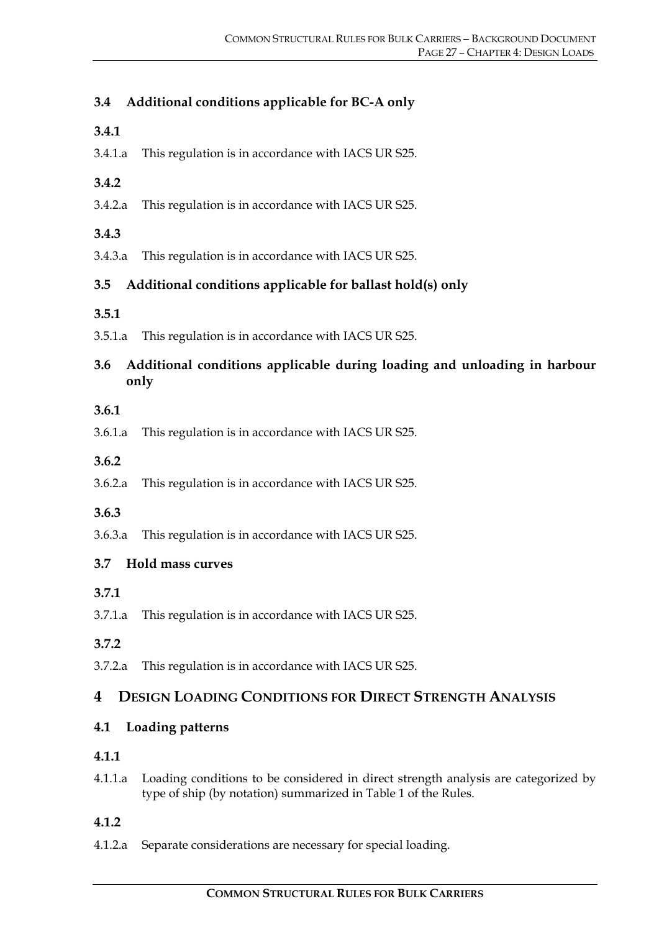## **3.4 Additional conditions applicable for BC-A only**

- **3.4.1**
- 3.4.1.a This regulation is in accordance with IACS UR S25.
- **3.4.2**
- 3.4.2.a This regulation is in accordance with IACS UR S25.

#### **3.4.3**

3.4.3.a This regulation is in accordance with IACS UR S25.

#### **3.5 Additional conditions applicable for ballast hold(s) only**

#### **3.5.1**

3.5.1.a This regulation is in accordance with IACS UR S25.

## **3.6 Additional conditions applicable during loading and unloading in harbour only**

#### **3.6.1**

3.6.1.a This regulation is in accordance with IACS UR S25.

#### **3.6.2**

3.6.2.a This regulation is in accordance with IACS UR S25.

#### **3.6.3**

3.6.3.a This regulation is in accordance with IACS UR S25.

#### **3.7 Hold mass curves**

- **3.7.1**
- 3.7.1.a This regulation is in accordance with IACS UR S25.

#### **3.7.2**

3.7.2.a This regulation is in accordance with IACS UR S25.

#### **4 DESIGN LOADING CONDITIONS FOR DIRECT STRENGTH ANALYSIS**

#### **4.1 Loading patterns**

#### **4.1.1**

4.1.1.a Loading conditions to be considered in direct strength analysis are categorized by type of ship (by notation) summarized in Table 1 of the Rules.

#### **4.1.2**

4.1.2.a Separate considerations are necessary for special loading.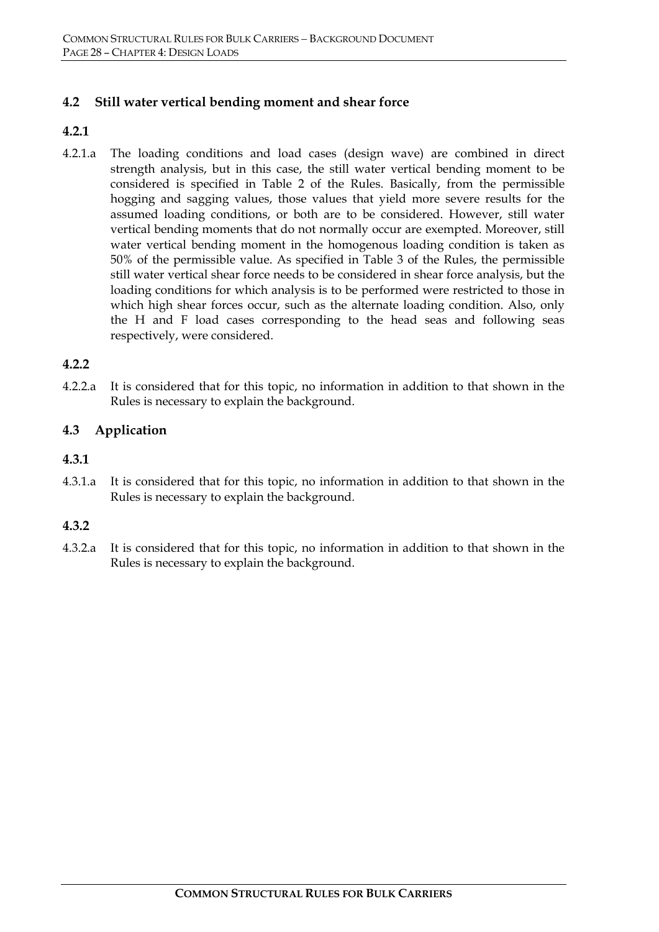#### **4.2 Still water vertical bending moment and shear force**

#### **4.2.1**

4.2.1.a The loading conditions and load cases (design wave) are combined in direct strength analysis, but in this case, the still water vertical bending moment to be considered is specified in Table 2 of the Rules. Basically, from the permissible hogging and sagging values, those values that yield more severe results for the assumed loading conditions, or both are to be considered. However, still water vertical bending moments that do not normally occur are exempted. Moreover, still water vertical bending moment in the homogenous loading condition is taken as 50% of the permissible value. As specified in Table 3 of the Rules, the permissible still water vertical shear force needs to be considered in shear force analysis, but the loading conditions for which analysis is to be performed were restricted to those in which high shear forces occur, such as the alternate loading condition. Also, only the H and F load cases corresponding to the head seas and following seas respectively, were considered.

#### **4.2.2**

4.2.2.a It is considered that for this topic, no information in addition to that shown in the Rules is necessary to explain the background.

#### **4.3 Application**

#### **4.3.1**

4.3.1.a It is considered that for this topic, no information in addition to that shown in the Rules is necessary to explain the background.

#### **4.3.2**

4.3.2.a It is considered that for this topic, no information in addition to that shown in the Rules is necessary to explain the background.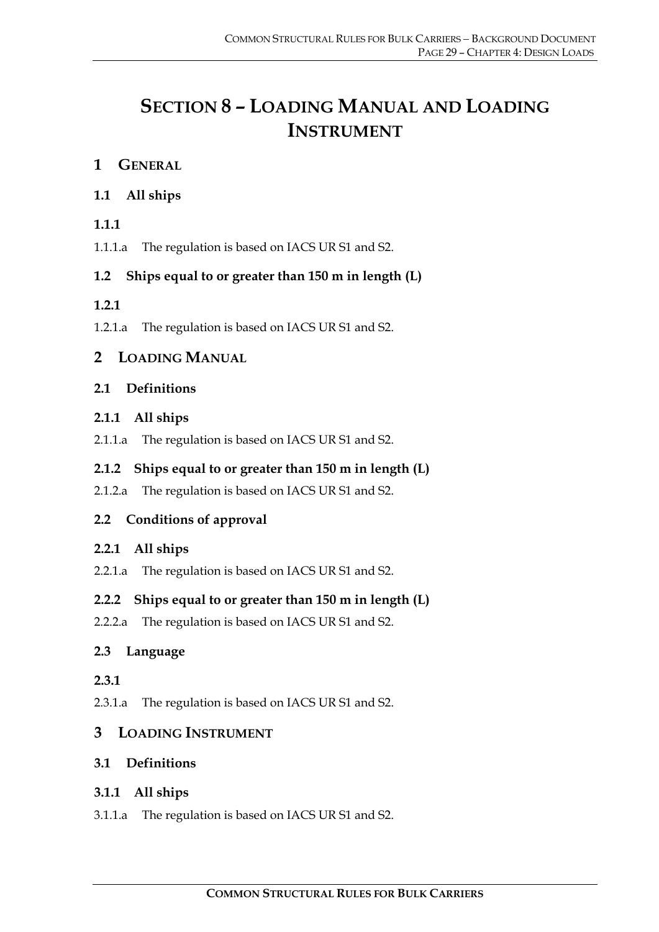## **SECTION 8 – LOADING MANUAL AND LOADING INSTRUMENT**

## **1 GENERAL**

## **1.1 All ships**

## **1.1.1**

1.1.1.a The regulation is based on IACS UR S1 and S2.

## **1.2 Ships equal to or greater than 150 m in length (L)**

## **1.2.1**

1.2.1.a The regulation is based on IACS UR S1 and S2.

## **2 LOADING MANUAL**

## **2.1 Definitions**

## **2.1.1 All ships**

2.1.1.a The regulation is based on IACS UR S1 and S2.

## **2.1.2 Ships equal to or greater than 150 m in length (L)**

2.1.2.a The regulation is based on IACS UR S1 and S2.

## **2.2 Conditions of approval**

## **2.2.1 All ships**

2.2.1.a The regulation is based on IACS UR S1 and S2.

## **2.2.2 Ships equal to or greater than 150 m in length (L)**

2.2.2.a The regulation is based on IACS UR S1 and S2.

## **2.3 Language**

## **2.3.1**

2.3.1.a The regulation is based on IACS UR S1 and S2.

## **3 LOADING INSTRUMENT**

## **3.1 Definitions**

## **3.1.1 All ships**

3.1.1.a The regulation is based on IACS UR S1 and S2.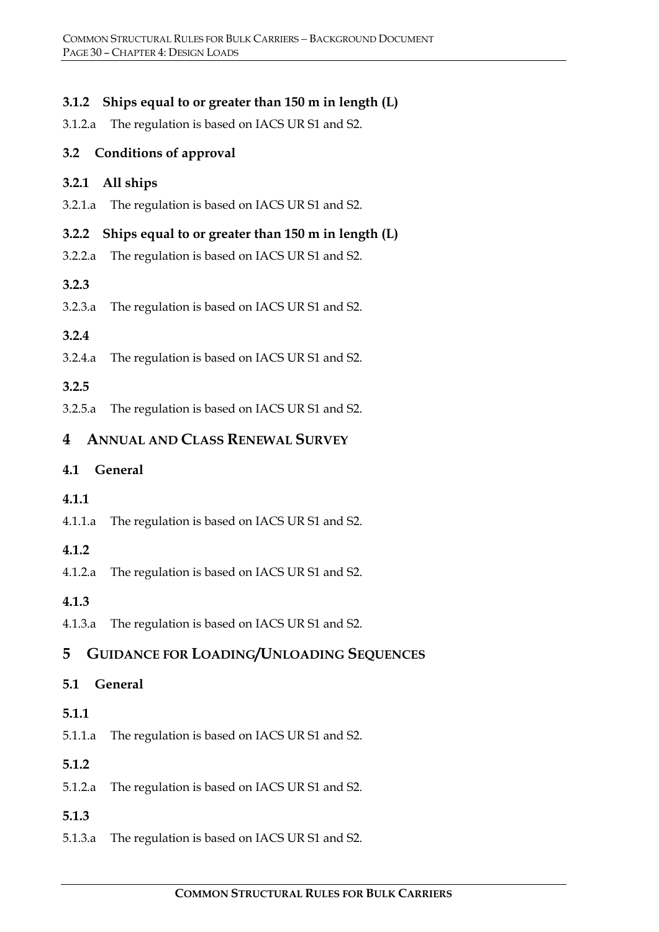## **3.1.2 Ships equal to or greater than 150 m in length (L)**

3.1.2.a The regulation is based on IACS UR S1 and S2.

## **3.2 Conditions of approval**

#### **3.2.1 All ships**

3.2.1.a The regulation is based on IACS UR S1 and S2.

## **3.2.2 Ships equal to or greater than 150 m in length (L)**

3.2.2.a The regulation is based on IACS UR S1 and S2.

#### **3.2.3**

3.2.3.a The regulation is based on IACS UR S1 and S2.

## **3.2.4**

3.2.4.a The regulation is based on IACS UR S1 and S2.

#### **3.2.5**

3.2.5.a The regulation is based on IACS UR S1 and S2.

## **4 ANNUAL AND CLASS RENEWAL SURVEY**

## **4.1 General**

## **4.1.1**

4.1.1.a The regulation is based on IACS UR S1 and S2.

## **4.1.2**

4.1.2.a The regulation is based on IACS UR S1 and S2.

## **4.1.3**

4.1.3.a The regulation is based on IACS UR S1 and S2.

## **5 GUIDANCE FOR LOADING/UNLOADING SEQUENCES**

## **5.1 General**

#### **5.1.1**

5.1.1.a The regulation is based on IACS UR S1 and S2.

## **5.1.2**

5.1.2.a The regulation is based on IACS UR S1 and S2.

## **5.1.3**

5.1.3.a The regulation is based on IACS UR S1 and S2.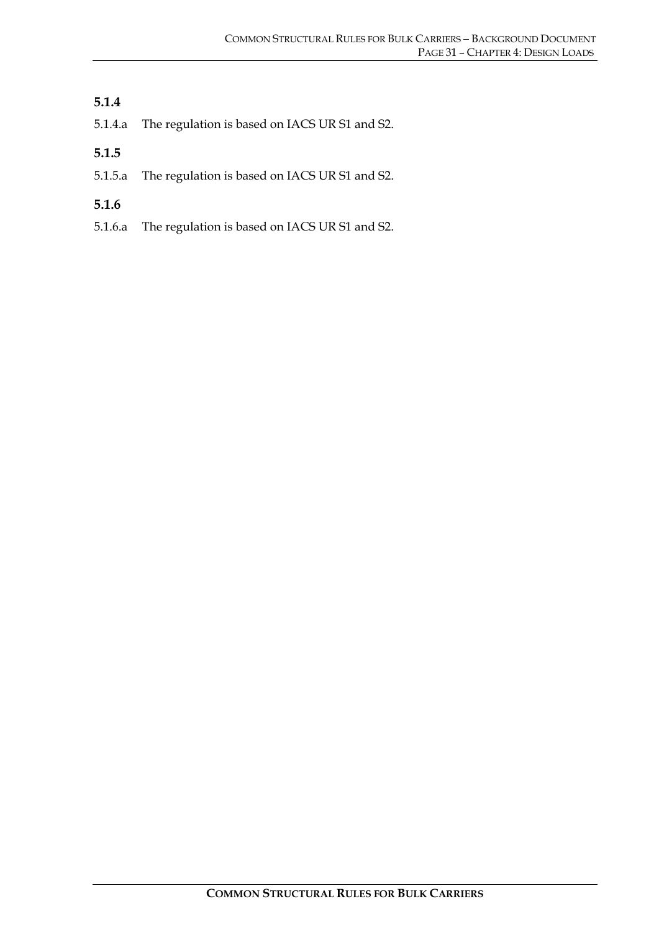## **5.1.4**

5.1.4.a The regulation is based on IACS UR S1 and S2.

#### **5.1.5**

5.1.5.a The regulation is based on IACS UR S1 and S2.

#### **5.1.6**

5.1.6.a The regulation is based on IACS UR S1 and S2.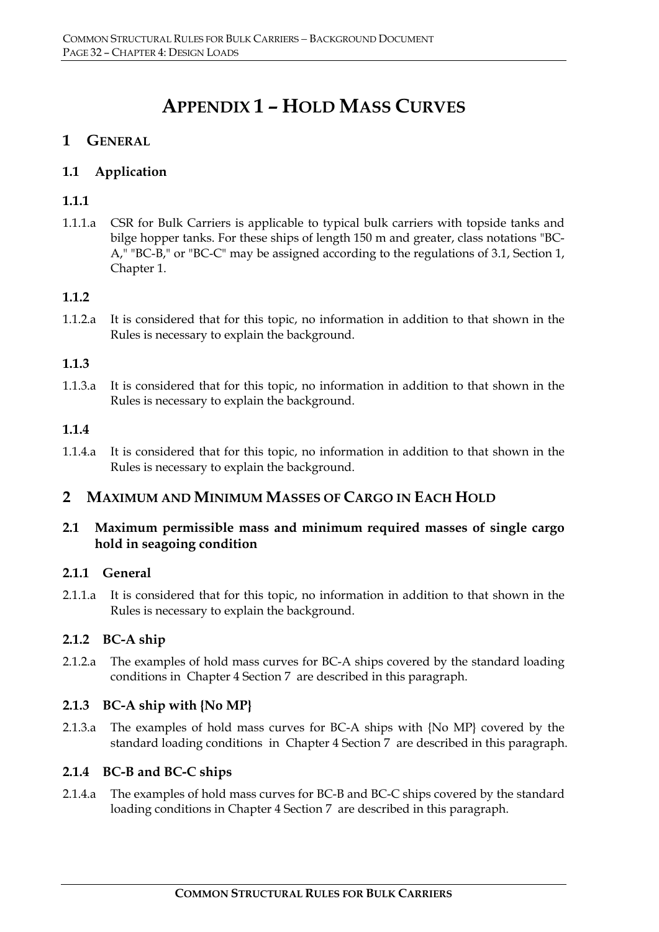## **APPENDIX 1 – HOLD MASS CURVES**

## **1 GENERAL**

## **1.1 Application**

## **1.1.1**

1.1.1.a CSR for Bulk Carriers is applicable to typical bulk carriers with topside tanks and bilge hopper tanks. For these ships of length 150 m and greater, class notations "BC-A," "BC-B," or "BC-C" may be assigned according to the regulations of 3.1, Section 1, Chapter 1.

## **1.1.2**

1.1.2.a It is considered that for this topic, no information in addition to that shown in the Rules is necessary to explain the background.

## **1.1.3**

1.1.3.a It is considered that for this topic, no information in addition to that shown in the Rules is necessary to explain the background.

#### **1.1.4**

1.1.4.a It is considered that for this topic, no information in addition to that shown in the Rules is necessary to explain the background.

## **2 MAXIMUM AND MINIMUM MASSES OF CARGO IN EACH HOLD**

#### **2.1 Maximum permissible mass and minimum required masses of single cargo hold in seagoing condition**

## **2.1.1 General**

2.1.1.a It is considered that for this topic, no information in addition to that shown in the Rules is necessary to explain the background.

## **2.1.2 BC-A ship**

2.1.2.a The examples of hold mass curves for BC-A ships covered by the standard loading conditions in Chapter 4 Section 7 are described in this paragraph.

## **2.1.3 BC-A ship with {No MP}**

2.1.3.a The examples of hold mass curves for BC-A ships with {No MP} covered by the standard loading conditions in Chapter 4 Section 7 are described in this paragraph.

## **2.1.4 BC-B and BC-C ships**

2.1.4.a The examples of hold mass curves for BC-B and BC-C ships covered by the standard loading conditions in Chapter 4 Section 7 are described in this paragraph.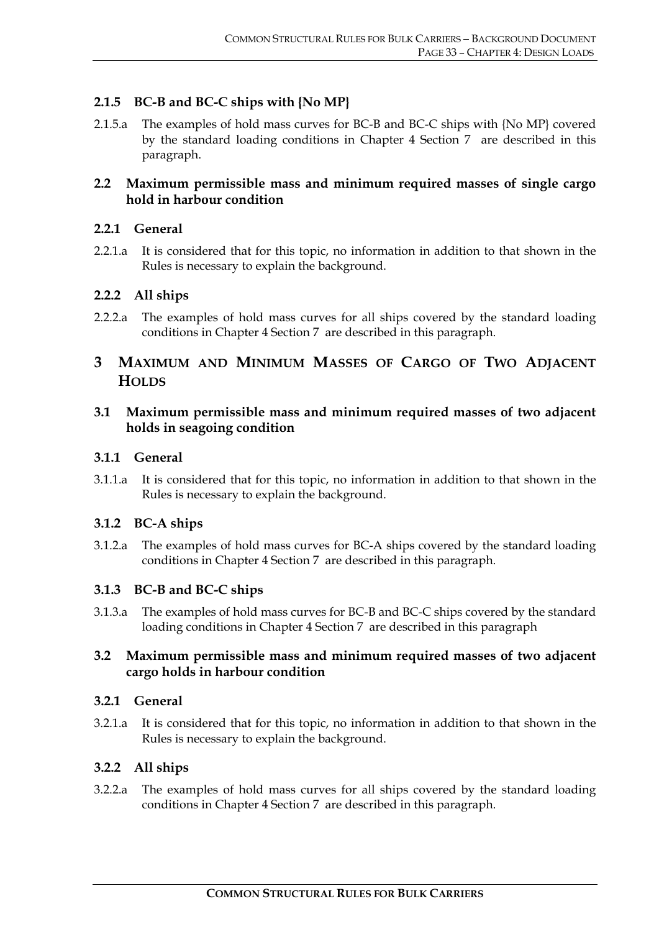## **2.1.5 BC-B and BC-C ships with {No MP}**

2.1.5.a The examples of hold mass curves for BC-B and BC-C ships with {No MP} covered by the standard loading conditions in Chapter 4 Section 7 are described in this paragraph.

#### **2.2 Maximum permissible mass and minimum required masses of single cargo hold in harbour condition**

#### **2.2.1 General**

2.2.1.a It is considered that for this topic, no information in addition to that shown in the Rules is necessary to explain the background.

#### **2.2.2 All ships**

2.2.2.a The examples of hold mass curves for all ships covered by the standard loading conditions in Chapter 4 Section 7 are described in this paragraph.

## **3 MAXIMUM AND MINIMUM MASSES OF CARGO OF TWO ADJACENT HOLDS**

#### **3.1 Maximum permissible mass and minimum required masses of two adjacent holds in seagoing condition**

#### **3.1.1 General**

3.1.1.a It is considered that for this topic, no information in addition to that shown in the Rules is necessary to explain the background.

#### **3.1.2 BC-A ships**

3.1.2.a The examples of hold mass curves for BC-A ships covered by the standard loading conditions in Chapter 4 Section 7 are described in this paragraph.

#### **3.1.3 BC-B and BC-C ships**

3.1.3.a The examples of hold mass curves for BC-B and BC-C ships covered by the standard loading conditions in Chapter 4 Section 7 are described in this paragraph

#### **3.2 Maximum permissible mass and minimum required masses of two adjacent cargo holds in harbour condition**

#### **3.2.1 General**

3.2.1.a It is considered that for this topic, no information in addition to that shown in the Rules is necessary to explain the background.

#### **3.2.2 All ships**

3.2.2.a The examples of hold mass curves for all ships covered by the standard loading conditions in Chapter 4 Section 7 are described in this paragraph.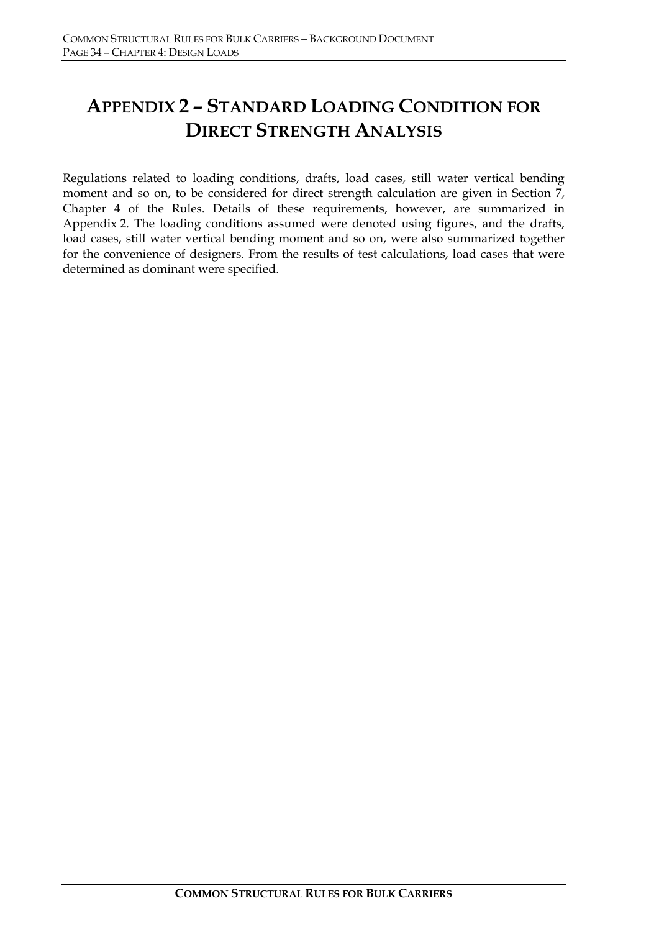## **APPENDIX 2 – STANDARD LOADING CONDITION FOR DIRECT STRENGTH ANALYSIS**

Regulations related to loading conditions, drafts, load cases, still water vertical bending moment and so on, to be considered for direct strength calculation are given in Section 7, Chapter 4 of the Rules. Details of these requirements, however, are summarized in Appendix 2. The loading conditions assumed were denoted using figures, and the drafts, load cases, still water vertical bending moment and so on, were also summarized together for the convenience of designers. From the results of test calculations, load cases that were determined as dominant were specified.